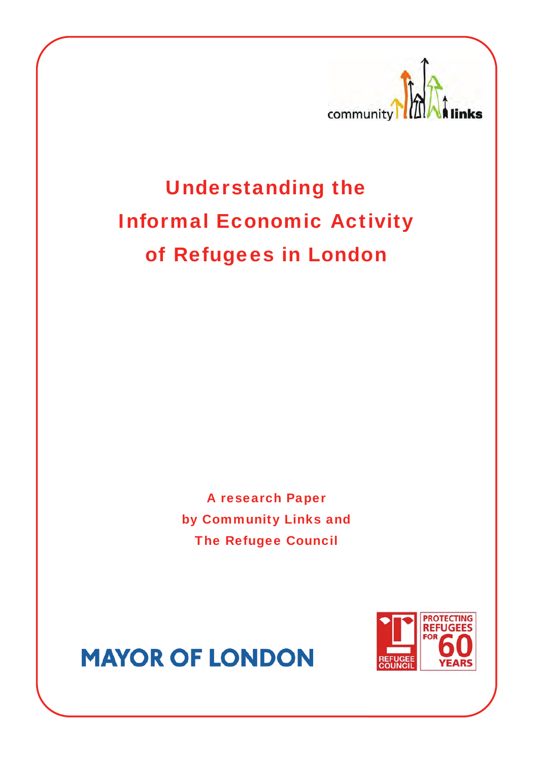

Understanding the Informal Economic Activity of Refugees in London

> A research Paper by Community Links and The Refugee Council



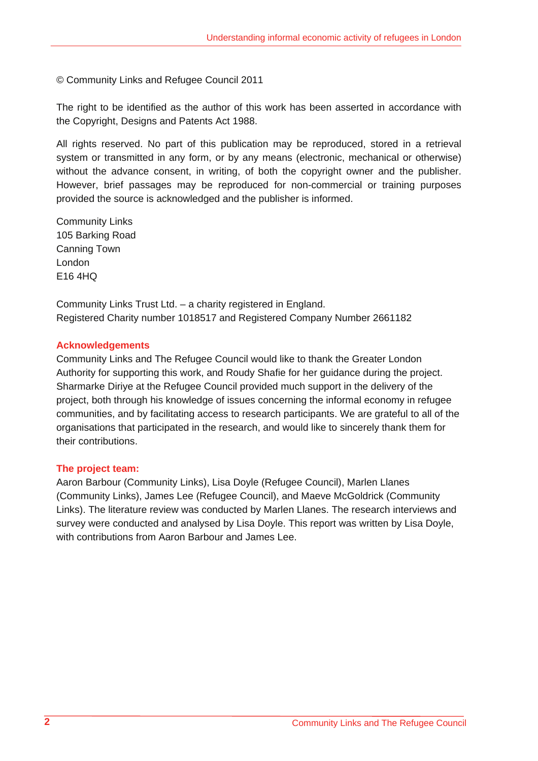© Community Links and Refugee Council 2011

The right to be identified as the author of this work has been asserted in accordance with the Copyright, Designs and Patents Act 1988.

All rights reserved. No part of this publication may be reproduced, stored in a retrieval system or transmitted in any form, or by any means (electronic, mechanical or otherwise) without the advance consent, in writing, of both the copyright owner and the publisher. However, brief passages may be reproduced for non-commercial or training purposes provided the source is acknowledged and the publisher is informed.

Community Links 105 Barking Road Canning Town London E16 4HQ

Community Links Trust Ltd. – a charity registered in England. Registered Charity number 1018517 and Registered Company Number 2661182

# **Acknowledgements**

Community Links and The Refugee Council would like to thank the Greater London Authority for supporting this work, and Roudy Shafie for her guidance during the project. Sharmarke Diriye at the Refugee Council provided much support in the delivery of the project, both through his knowledge of issues concerning the informal economy in refugee communities, and by facilitating access to research participants. We are grateful to all of the organisations that participated in the research, and would like to sincerely thank them for their contributions.

# **The project team:**

Aaron Barbour (Community Links), Lisa Doyle (Refugee Council), Marlen Llanes (Community Links), James Lee (Refugee Council), and Maeve McGoldrick (Community Links). The literature review was conducted by Marlen Llanes. The research interviews and survey were conducted and analysed by Lisa Doyle. This report was written by Lisa Doyle, with contributions from Aaron Barbour and James Lee.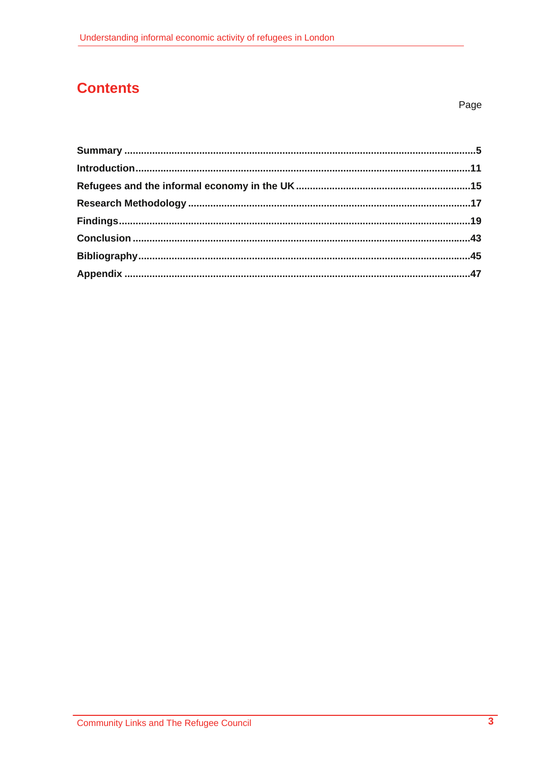# **Contents**

Page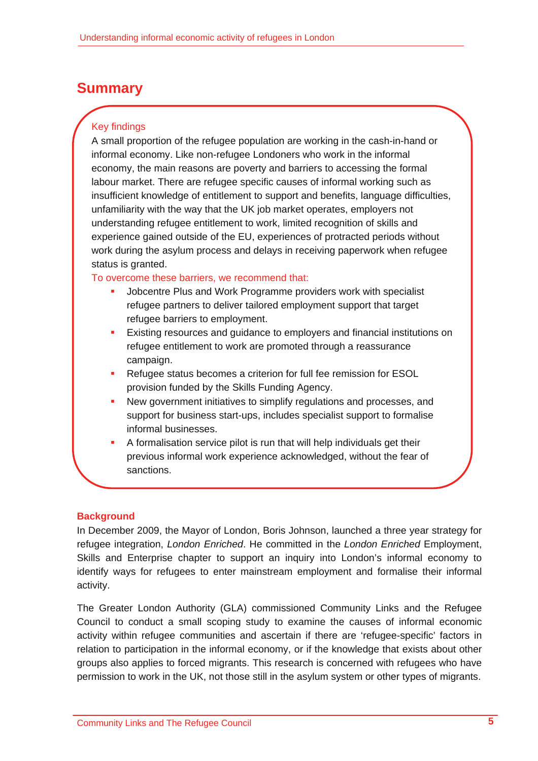# **Summary**

# Key findings

A small proportion of the refugee population are working in the cash-in-hand or informal economy. Like non-refugee Londoners who work in the informal economy, the main reasons are poverty and barriers to accessing the formal labour market. There are refugee specific causes of informal working such as insufficient knowledge of entitlement to support and benefits, language difficulties, unfamiliarity with the way that the UK job market operates, employers not understanding refugee entitlement to work, limited recognition of skills and experience gained outside of the EU, experiences of protracted periods without work during the asylum process and delays in receiving paperwork when refugee status is granted.

# To overcome these barriers, we recommend that:

- Jobcentre Plus and Work Programme providers work with specialist refugee partners to deliver tailored employment support that target refugee barriers to employment.
- Existing resources and guidance to employers and financial institutions on refugee entitlement to work are promoted through a reassurance campaign.
- **Refugee status becomes a criterion for full fee remission for ESOL** provision funded by the Skills Funding Agency.
- New government initiatives to simplify regulations and processes, and support for business start-ups, includes specialist support to formalise informal businesses.
- A formalisation service pilot is run that will help individuals get their previous informal work experience acknowledged, without the fear of sanctions.

# **Background**

In December 2009, the Mayor of London, Boris Johnson, launched a three year strategy for refugee integration, *London Enriched*. He committed in the *London Enriched* Employment, Skills and Enterprise chapter to support an inquiry into London's informal economy to identify ways for refugees to enter mainstream employment and formalise their informal activity.

The Greater London Authority (GLA) commissioned Community Links and the Refugee Council to conduct a small scoping study to examine the causes of informal economic activity within refugee communities and ascertain if there are 'refugee-specific' factors in relation to participation in the informal economy, or if the knowledge that exists about other groups also applies to forced migrants. This research is concerned with refugees who have permission to work in the UK, not those still in the asylum system or other types of migrants.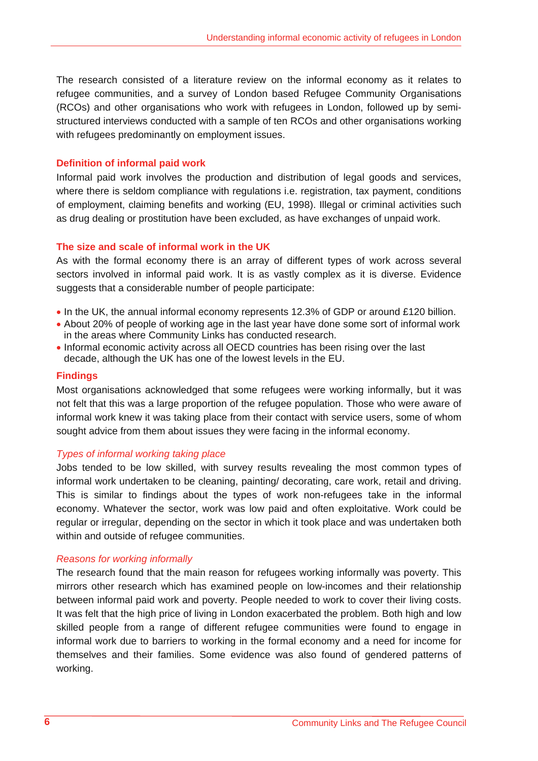The research consisted of a literature review on the informal economy as it relates to refugee communities, and a survey of London based Refugee Community Organisations (RCOs) and other organisations who work with refugees in London, followed up by semistructured interviews conducted with a sample of ten RCOs and other organisations working with refugees predominantly on employment issues.

#### **Definition of informal paid work**

Informal paid work involves the production and distribution of legal goods and services, where there is seldom compliance with regulations i.e. registration, tax payment, conditions of employment, claiming benefits and working (EU, 1998). Illegal or criminal activities such as drug dealing or prostitution have been excluded, as have exchanges of unpaid work.

#### **The size and scale of informal work in the UK**

As with the formal economy there is an array of different types of work across several sectors involved in informal paid work. It is as vastly complex as it is diverse. Evidence suggests that a considerable number of people participate:

- In the UK, the annual informal economy represents 12.3% of GDP or around £120 billion.
- About 20% of people of working age in the last year have done some sort of informal work in the areas where Community Links has conducted research.
- Informal economic activity across all OECD countries has been rising over the last decade, although the UK has one of the lowest levels in the EU.

#### **Findings**

Most organisations acknowledged that some refugees were working informally, but it was not felt that this was a large proportion of the refugee population. Those who were aware of informal work knew it was taking place from their contact with service users, some of whom sought advice from them about issues they were facing in the informal economy.

# *Types of informal working taking place*

Jobs tended to be low skilled, with survey results revealing the most common types of informal work undertaken to be cleaning, painting/ decorating, care work, retail and driving. This is similar to findings about the types of work non-refugees take in the informal economy. Whatever the sector, work was low paid and often exploitative. Work could be regular or irregular, depending on the sector in which it took place and was undertaken both within and outside of refugee communities.

#### *Reasons for working informally*

The research found that the main reason for refugees working informally was poverty. This mirrors other research which has examined people on low-incomes and their relationship between informal paid work and poverty. People needed to work to cover their living costs. It was felt that the high price of living in London exacerbated the problem. Both high and low skilled people from a range of different refugee communities were found to engage in informal work due to barriers to working in the formal economy and a need for income for themselves and their families. Some evidence was also found of gendered patterns of working.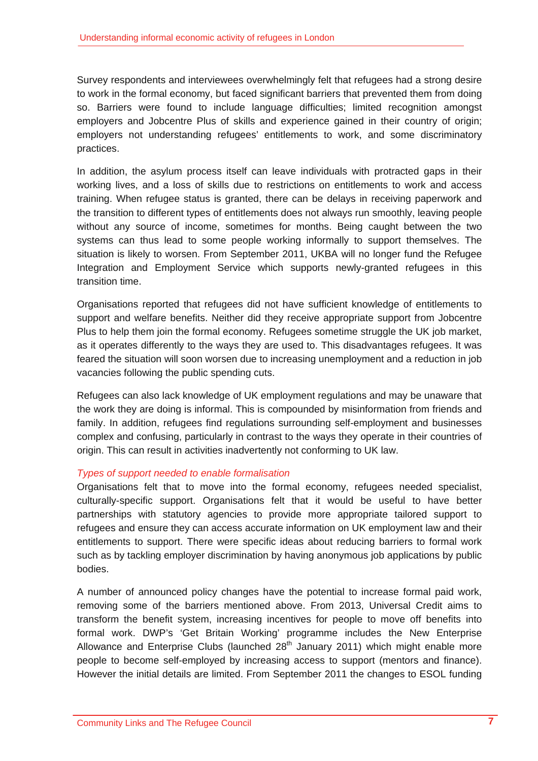Survey respondents and interviewees overwhelmingly felt that refugees had a strong desire to work in the formal economy, but faced significant barriers that prevented them from doing so. Barriers were found to include language difficulties; limited recognition amongst employers and Jobcentre Plus of skills and experience gained in their country of origin; employers not understanding refugees' entitlements to work, and some discriminatory practices.

In addition, the asylum process itself can leave individuals with protracted gaps in their working lives, and a loss of skills due to restrictions on entitlements to work and access training. When refugee status is granted, there can be delays in receiving paperwork and the transition to different types of entitlements does not always run smoothly, leaving people without any source of income, sometimes for months. Being caught between the two systems can thus lead to some people working informally to support themselves. The situation is likely to worsen. From September 2011, UKBA will no longer fund the Refugee Integration and Employment Service which supports newly-granted refugees in this transition time.

Organisations reported that refugees did not have sufficient knowledge of entitlements to support and welfare benefits. Neither did they receive appropriate support from Jobcentre Plus to help them join the formal economy. Refugees sometime struggle the UK job market, as it operates differently to the ways they are used to. This disadvantages refugees. It was feared the situation will soon worsen due to increasing unemployment and a reduction in job vacancies following the public spending cuts.

Refugees can also lack knowledge of UK employment regulations and may be unaware that the work they are doing is informal. This is compounded by misinformation from friends and family. In addition, refugees find regulations surrounding self-employment and businesses complex and confusing, particularly in contrast to the ways they operate in their countries of origin. This can result in activities inadvertently not conforming to UK law.

# *Types of support needed to enable formalisation*

Organisations felt that to move into the formal economy, refugees needed specialist, culturally-specific support. Organisations felt that it would be useful to have better partnerships with statutory agencies to provide more appropriate tailored support to refugees and ensure they can access accurate information on UK employment law and their entitlements to support. There were specific ideas about reducing barriers to formal work such as by tackling employer discrimination by having anonymous job applications by public bodies.

A number of announced policy changes have the potential to increase formal paid work, removing some of the barriers mentioned above. From 2013, Universal Credit aims to transform the benefit system, increasing incentives for people to move off benefits into formal work. DWP's 'Get Britain Working' programme includes the New Enterprise Allowance and Enterprise Clubs (launched  $28<sup>th</sup>$  January 2011) which might enable more people to become self-employed by increasing access to support (mentors and finance). However the initial details are limited. From September 2011 the changes to ESOL funding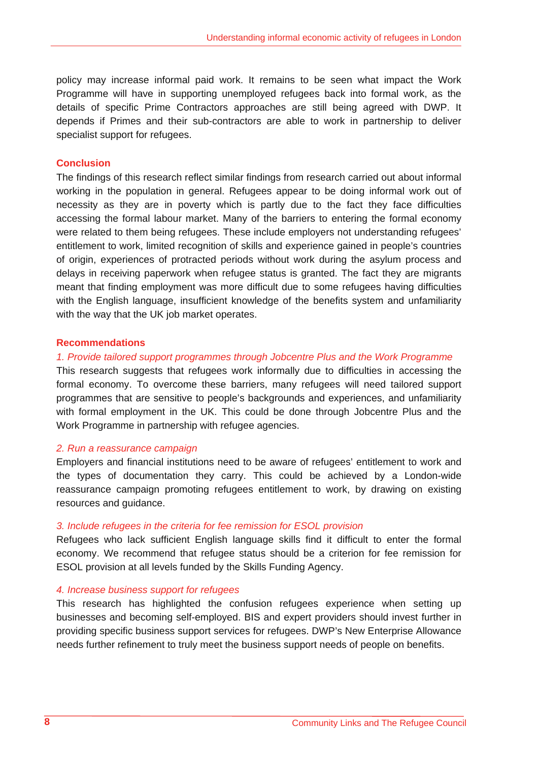policy may increase informal paid work. It remains to be seen what impact the Work Programme will have in supporting unemployed refugees back into formal work, as the details of specific Prime Contractors approaches are still being agreed with DWP. It depends if Primes and their sub-contractors are able to work in partnership to deliver specialist support for refugees.

#### **Conclusion**

The findings of this research reflect similar findings from research carried out about informal working in the population in general. Refugees appear to be doing informal work out of necessity as they are in poverty which is partly due to the fact they face difficulties accessing the formal labour market. Many of the barriers to entering the formal economy were related to them being refugees. These include employers not understanding refugees' entitlement to work, limited recognition of skills and experience gained in people's countries of origin, experiences of protracted periods without work during the asylum process and delays in receiving paperwork when refugee status is granted. The fact they are migrants meant that finding employment was more difficult due to some refugees having difficulties with the English language, insufficient knowledge of the benefits system and unfamiliarity with the way that the UK job market operates.

#### **Recommendations**

#### *1. Provide tailored support programmes through Jobcentre Plus and the Work Programme*

This research suggests that refugees work informally due to difficulties in accessing the formal economy. To overcome these barriers, many refugees will need tailored support programmes that are sensitive to people's backgrounds and experiences, and unfamiliarity with formal employment in the UK. This could be done through Jobcentre Plus and the Work Programme in partnership with refugee agencies.

#### *2. Run a reassurance campaign*

Employers and financial institutions need to be aware of refugees' entitlement to work and the types of documentation they carry. This could be achieved by a London-wide reassurance campaign promoting refugees entitlement to work, by drawing on existing resources and guidance.

#### *3. Include refugees in the criteria for fee remission for ESOL provision*

Refugees who lack sufficient English language skills find it difficult to enter the formal economy. We recommend that refugee status should be a criterion for fee remission for ESOL provision at all levels funded by the Skills Funding Agency.

#### *4. Increase business support for refugees*

This research has highlighted the confusion refugees experience when setting up businesses and becoming self-employed. BIS and expert providers should invest further in providing specific business support services for refugees. DWP's New Enterprise Allowance needs further refinement to truly meet the business support needs of people on benefits.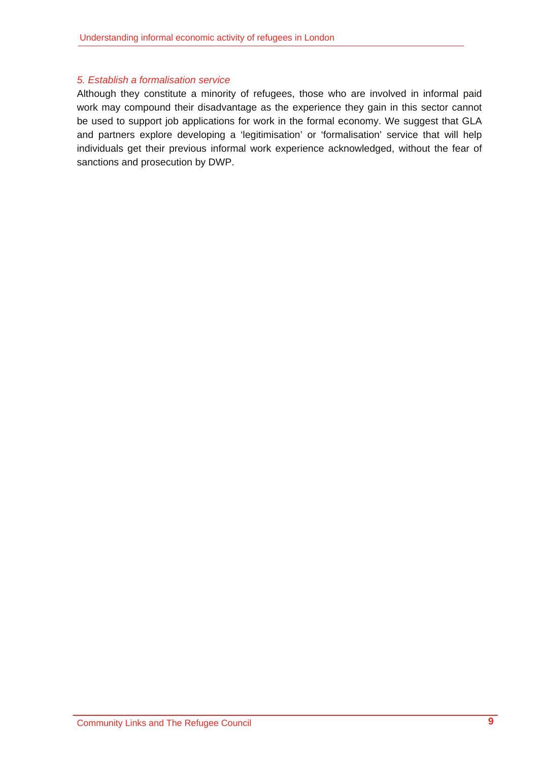# *5. Establish a formalisation service*

Although they constitute a minority of refugees, those who are involved in informal paid work may compound their disadvantage as the experience they gain in this sector cannot be used to support job applications for work in the formal economy. We suggest that GLA and partners explore developing a 'legitimisation' or 'formalisation' service that will help individuals get their previous informal work experience acknowledged, without the fear of sanctions and prosecution by DWP.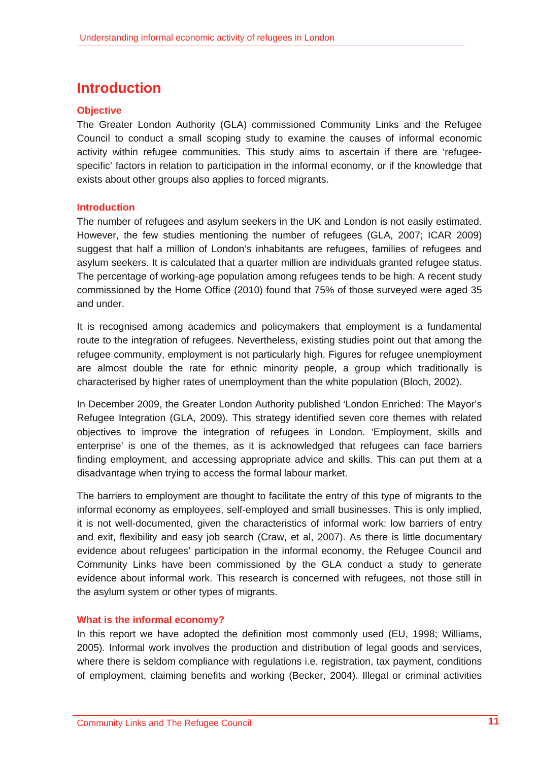# **Introduction**

# **Objective**

The Greater London Authority (GLA) commissioned Community Links and the Refugee Council to conduct a small scoping study to examine the causes of informal economic activity within refugee communities. This study aims to ascertain if there are 'refugeespecific' factors in relation to participation in the informal economy, or if the knowledge that exists about other groups also applies to forced migrants.

# **Introduction**

The number of refugees and asylum seekers in the UK and London is not easily estimated. However, the few studies mentioning the number of refugees (GLA, 2007; ICAR 2009) suggest that half a million of London's inhabitants are refugees, families of refugees and asylum seekers. It is calculated that a quarter million are individuals granted refugee status. The percentage of working-age population among refugees tends to be high. A recent study commissioned by the Home Office (2010) found that 75% of those surveyed were aged 35 and under.

It is recognised among academics and policymakers that employment is a fundamental route to the integration of refugees. Nevertheless, existing studies point out that among the refugee community, employment is not particularly high. Figures for refugee unemployment are almost double the rate for ethnic minority people, a group which traditionally is characterised by higher rates of unemployment than the white population (Bloch, 2002).

In December 2009, the Greater London Authority published 'London Enriched: The Mayor's Refugee Integration (GLA, 2009). This strategy identified seven core themes with related objectives to improve the integration of refugees in London. 'Employment, skills and enterprise' is one of the themes, as it is acknowledged that refugees can face barriers finding employment, and accessing appropriate advice and skills. This can put them at a disadvantage when trying to access the formal labour market.

The barriers to employment are thought to facilitate the entry of this type of migrants to the informal economy as employees, self-employed and small businesses. This is only implied, it is not well-documented, given the characteristics of informal work: low barriers of entry and exit, flexibility and easy job search (Craw, et al, 2007). As there is little documentary evidence about refugees' participation in the informal economy, the Refugee Council and Community Links have been commissioned by the GLA conduct a study to generate evidence about informal work. This research is concerned with refugees, not those still in the asylum system or other types of migrants.

# **What is the informal economy?**

In this report we have adopted the definition most commonly used (EU, 1998; Williams, 2005). Informal work involves the production and distribution of legal goods and services, where there is seldom compliance with regulations i.e. registration, tax payment, conditions of employment, claiming benefits and working (Becker, 2004). Illegal or criminal activities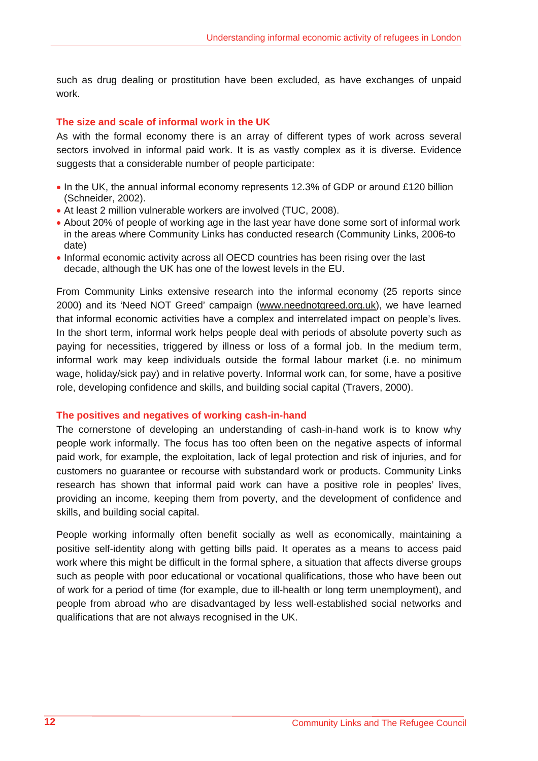such as drug dealing or prostitution have been excluded, as have exchanges of unpaid work.

#### **The size and scale of informal work in the UK**

As with the formal economy there is an array of different types of work across several sectors involved in informal paid work. It is as vastly complex as it is diverse. Evidence suggests that a considerable number of people participate:

- In the UK, the annual informal economy represents 12.3% of GDP or around £120 billion (Schneider, 2002).
- At least 2 million vulnerable workers are involved (TUC, 2008).
- About 20% of people of working age in the last year have done some sort of informal work in the areas where Community Links has conducted research (Community Links, 2006-to date)
- Informal economic activity across all OECD countries has been rising over the last decade, although the UK has one of the lowest levels in the EU.

From Community Links extensive research into the informal economy (25 reports since 2000) and its 'Need NOT Greed' campaign (www.neednotgreed.org.uk), we have learned that informal economic activities have a complex and interrelated impact on people's lives. In the short term, informal work helps people deal with periods of absolute poverty such as paying for necessities, triggered by illness or loss of a formal job. In the medium term, informal work may keep individuals outside the formal labour market (i.e. no minimum wage, holiday/sick pay) and in relative poverty. Informal work can, for some, have a positive role, developing confidence and skills, and building social capital (Travers, 2000).

#### **The positives and negatives of working cash-in-hand**

The cornerstone of developing an understanding of cash-in-hand work is to know why people work informally. The focus has too often been on the negative aspects of informal paid work, for example, the exploitation, lack of legal protection and risk of injuries, and for customers no guarantee or recourse with substandard work or products. Community Links research has shown that informal paid work can have a positive role in peoples' lives, providing an income, keeping them from poverty, and the development of confidence and skills, and building social capital.

People working informally often benefit socially as well as economically, maintaining a positive self-identity along with getting bills paid. It operates as a means to access paid work where this might be difficult in the formal sphere, a situation that affects diverse groups such as people with poor educational or vocational qualifications, those who have been out of work for a period of time (for example, due to ill-health or long term unemployment), and people from abroad who are disadvantaged by less well-established social networks and qualifications that are not always recognised in the UK.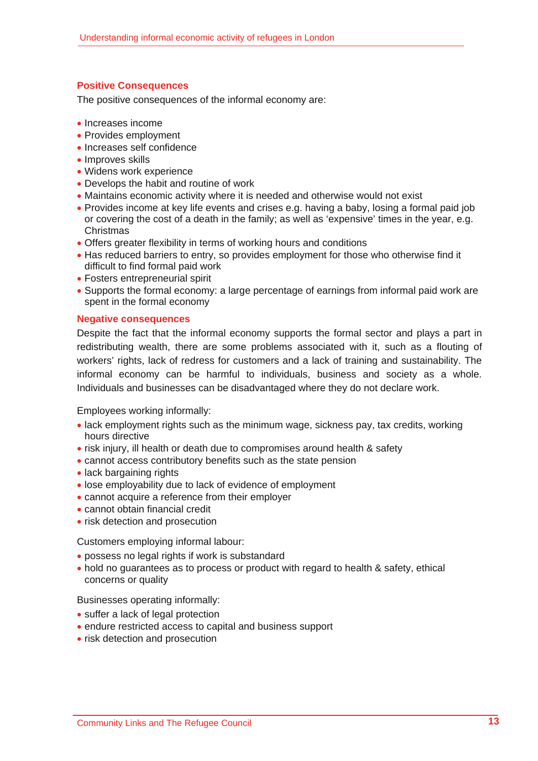# **Positive Consequences**

The positive consequences of the informal economy are:

- Increases income
- Provides employment
- Increases self confidence
- Improves skills
- Widens work experience
- Develops the habit and routine of work
- Maintains economic activity where it is needed and otherwise would not exist
- Provides income at key life events and crises e.g. having a baby, losing a formal paid job or covering the cost of a death in the family; as well as 'expensive' times in the year, e.g. Christmas
- Offers greater flexibility in terms of working hours and conditions
- Has reduced barriers to entry, so provides employment for those who otherwise find it difficult to find formal paid work
- Fosters entrepreneurial spirit
- Supports the formal economy: a large percentage of earnings from informal paid work are spent in the formal economy

#### **Negative consequences**

Despite the fact that the informal economy supports the formal sector and plays a part in redistributing wealth, there are some problems associated with it, such as a flouting of workers' rights, lack of redress for customers and a lack of training and sustainability. The informal economy can be harmful to individuals, business and society as a whole. Individuals and businesses can be disadvantaged where they do not declare work.

Employees working informally:

- lack employment rights such as the minimum wage, sickness pay, tax credits, working hours directive
- risk injury, ill health or death due to compromises around health & safety
- cannot access contributory benefits such as the state pension
- lack bargaining rights
- lose employability due to lack of evidence of employment
- cannot acquire a reference from their employer
- cannot obtain financial credit
- risk detection and prosecution

Customers employing informal labour:

- possess no legal rights if work is substandard
- hold no guarantees as to process or product with regard to health & safety, ethical concerns or quality

#### Businesses operating informally:

- suffer a lack of legal protection
- endure restricted access to capital and business support
- risk detection and prosecution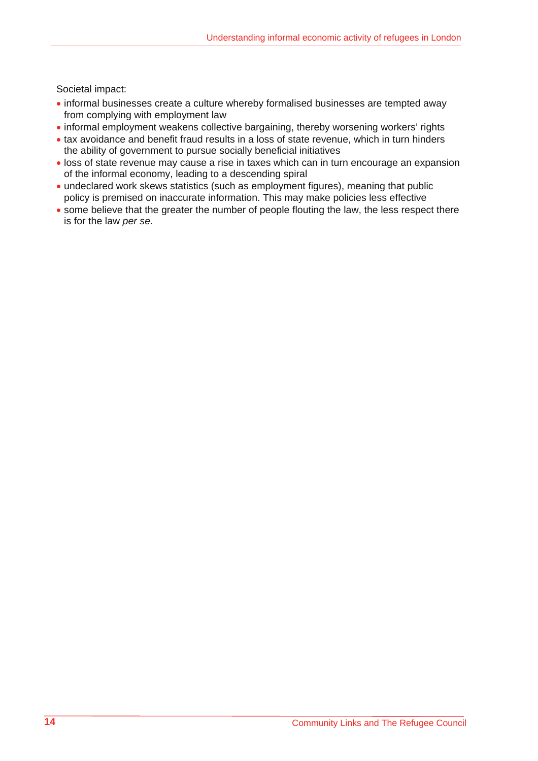Societal impact:

- informal businesses create a culture whereby formalised businesses are tempted away from complying with employment law
- informal employment weakens collective bargaining, thereby worsening workers' rights
- tax avoidance and benefit fraud results in a loss of state revenue, which in turn hinders the ability of government to pursue socially beneficial initiatives
- loss of state revenue may cause a rise in taxes which can in turn encourage an expansion of the informal economy, leading to a descending spiral
- undeclared work skews statistics (such as employment figures), meaning that public policy is premised on inaccurate information. This may make policies less effective
- some believe that the greater the number of people flouting the law, the less respect there is for the law *per se.*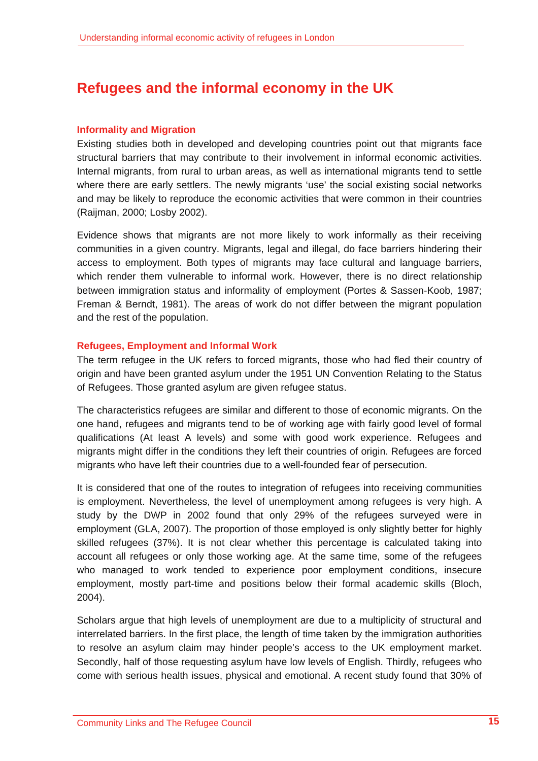# **Refugees and the informal economy in the UK**

#### **Informality and Migration**

Existing studies both in developed and developing countries point out that migrants face structural barriers that may contribute to their involvement in informal economic activities. Internal migrants, from rural to urban areas, as well as international migrants tend to settle where there are early settlers. The newly migrants 'use' the social existing social networks and may be likely to reproduce the economic activities that were common in their countries (Raijman, 2000; Losby 2002).

Evidence shows that migrants are not more likely to work informally as their receiving communities in a given country. Migrants, legal and illegal, do face barriers hindering their access to employment. Both types of migrants may face cultural and language barriers, which render them vulnerable to informal work. However, there is no direct relationship between immigration status and informality of employment (Portes & Sassen-Koob, 1987; Freman & Berndt, 1981). The areas of work do not differ between the migrant population and the rest of the population.

#### **Refugees, Employment and Informal Work**

The term refugee in the UK refers to forced migrants, those who had fled their country of origin and have been granted asylum under the 1951 UN Convention Relating to the Status of Refugees. Those granted asylum are given refugee status.

The characteristics refugees are similar and different to those of economic migrants. On the one hand, refugees and migrants tend to be of working age with fairly good level of formal qualifications (At least A levels) and some with good work experience. Refugees and migrants might differ in the conditions they left their countries of origin. Refugees are forced migrants who have left their countries due to a well-founded fear of persecution.

It is considered that one of the routes to integration of refugees into receiving communities is employment. Nevertheless, the level of unemployment among refugees is very high. A study by the DWP in 2002 found that only 29% of the refugees surveyed were in employment (GLA, 2007). The proportion of those employed is only slightly better for highly skilled refugees (37%). It is not clear whether this percentage is calculated taking into account all refugees or only those working age. At the same time, some of the refugees who managed to work tended to experience poor employment conditions, insecure employment, mostly part-time and positions below their formal academic skills (Bloch, 2004).

Scholars argue that high levels of unemployment are due to a multiplicity of structural and interrelated barriers. In the first place, the length of time taken by the immigration authorities to resolve an asylum claim may hinder people's access to the UK employment market. Secondly, half of those requesting asylum have low levels of English. Thirdly, refugees who come with serious health issues, physical and emotional. A recent study found that 30% of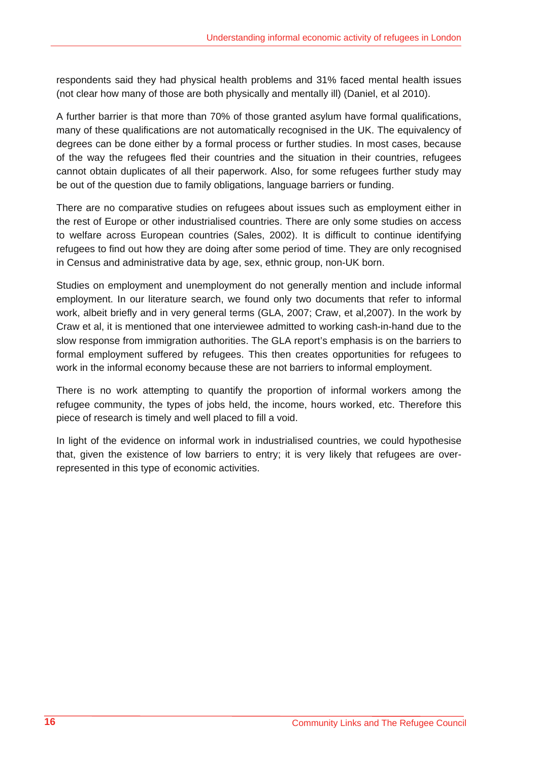respondents said they had physical health problems and 31% faced mental health issues (not clear how many of those are both physically and mentally ill) (Daniel, et al 2010).

A further barrier is that more than 70% of those granted asylum have formal qualifications, many of these qualifications are not automatically recognised in the UK. The equivalency of degrees can be done either by a formal process or further studies. In most cases, because of the way the refugees fled their countries and the situation in their countries, refugees cannot obtain duplicates of all their paperwork. Also, for some refugees further study may be out of the question due to family obligations, language barriers or funding.

There are no comparative studies on refugees about issues such as employment either in the rest of Europe or other industrialised countries. There are only some studies on access to welfare across European countries (Sales, 2002). It is difficult to continue identifying refugees to find out how they are doing after some period of time. They are only recognised in Census and administrative data by age, sex, ethnic group, non-UK born.

Studies on employment and unemployment do not generally mention and include informal employment. In our literature search, we found only two documents that refer to informal work, albeit briefly and in very general terms (GLA, 2007; Craw, et al,2007). In the work by Craw et al, it is mentioned that one interviewee admitted to working cash-in-hand due to the slow response from immigration authorities. The GLA report's emphasis is on the barriers to formal employment suffered by refugees. This then creates opportunities for refugees to work in the informal economy because these are not barriers to informal employment.

There is no work attempting to quantify the proportion of informal workers among the refugee community, the types of jobs held, the income, hours worked, etc. Therefore this piece of research is timely and well placed to fill a void.

In light of the evidence on informal work in industrialised countries, we could hypothesise that, given the existence of low barriers to entry; it is very likely that refugees are overrepresented in this type of economic activities.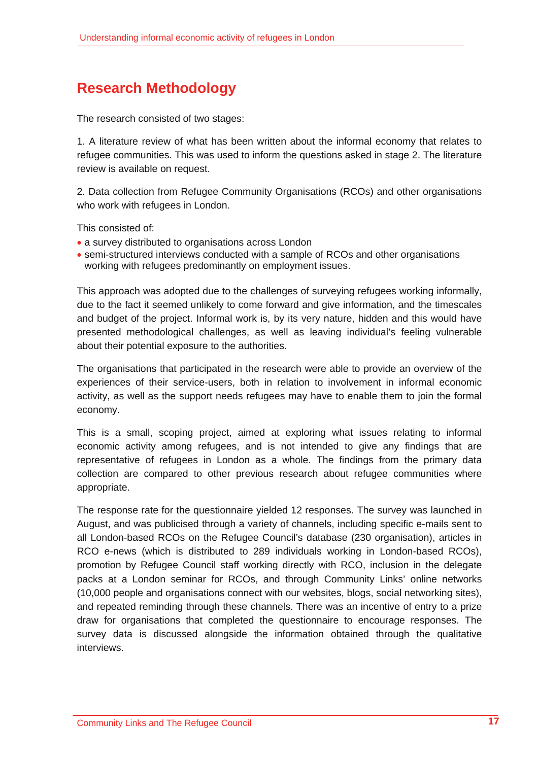# **Research Methodology**

The research consisted of two stages:

1. A literature review of what has been written about the informal economy that relates to refugee communities. This was used to inform the questions asked in stage 2. The literature review is available on request.

2. Data collection from Refugee Community Organisations (RCOs) and other organisations who work with refugees in London.

This consisted of:

- a survey distributed to organisations across London
- semi-structured interviews conducted with a sample of RCOs and other organisations working with refugees predominantly on employment issues.

This approach was adopted due to the challenges of surveying refugees working informally, due to the fact it seemed unlikely to come forward and give information, and the timescales and budget of the project. Informal work is, by its very nature, hidden and this would have presented methodological challenges, as well as leaving individual's feeling vulnerable about their potential exposure to the authorities.

The organisations that participated in the research were able to provide an overview of the experiences of their service-users, both in relation to involvement in informal economic activity, as well as the support needs refugees may have to enable them to join the formal economy.

This is a small, scoping project, aimed at exploring what issues relating to informal economic activity among refugees, and is not intended to give any findings that are representative of refugees in London as a whole. The findings from the primary data collection are compared to other previous research about refugee communities where appropriate.

The response rate for the questionnaire yielded 12 responses. The survey was launched in August, and was publicised through a variety of channels, including specific e-mails sent to all London-based RCOs on the Refugee Council's database (230 organisation), articles in RCO e-news (which is distributed to 289 individuals working in London-based RCOs), promotion by Refugee Council staff working directly with RCO, inclusion in the delegate packs at a London seminar for RCOs, and through Community Links' online networks (10,000 people and organisations connect with our websites, blogs, social networking sites), and repeated reminding through these channels. There was an incentive of entry to a prize draw for organisations that completed the questionnaire to encourage responses. The survey data is discussed alongside the information obtained through the qualitative interviews.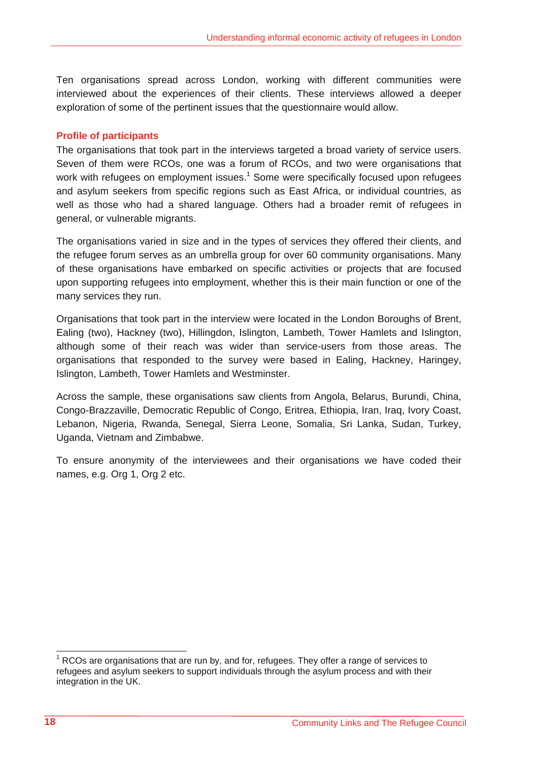Ten organisations spread across London, working with different communities were interviewed about the experiences of their clients. These interviews allowed a deeper exploration of some of the pertinent issues that the questionnaire would allow.

#### **Profile of participants**

The organisations that took part in the interviews targeted a broad variety of service users. Seven of them were RCOs, one was a forum of RCOs, and two were organisations that work with refugees on employment issues.<sup>1</sup> Some were specifically focused upon refugees and asylum seekers from specific regions such as East Africa, or individual countries, as well as those who had a shared language. Others had a broader remit of refugees in general, or vulnerable migrants.

The organisations varied in size and in the types of services they offered their clients, and the refugee forum serves as an umbrella group for over 60 community organisations. Many of these organisations have embarked on specific activities or projects that are focused upon supporting refugees into employment, whether this is their main function or one of the many services they run.

Organisations that took part in the interview were located in the London Boroughs of Brent, Ealing (two), Hackney (two), Hillingdon, Islington, Lambeth, Tower Hamlets and Islington, although some of their reach was wider than service-users from those areas. The organisations that responded to the survey were based in Ealing, Hackney, Haringey, Islington, Lambeth, Tower Hamlets and Westminster.

Across the sample, these organisations saw clients from Angola, Belarus, Burundi, China, Congo-Brazzaville, Democratic Republic of Congo, Eritrea, Ethiopia, Iran, Iraq, Ivory Coast, Lebanon, Nigeria, Rwanda, Senegal, Sierra Leone, Somalia, Sri Lanka, Sudan, Turkey, Uganda, Vietnam and Zimbabwe.

To ensure anonymity of the interviewees and their organisations we have coded their names, e.g. Org 1, Org 2 etc.

 $1$  RCOs are organisations that are run by, and for, refugees. They offer a range of services to refugees and asylum seekers to support individuals through the asylum process and with their integration in the UK.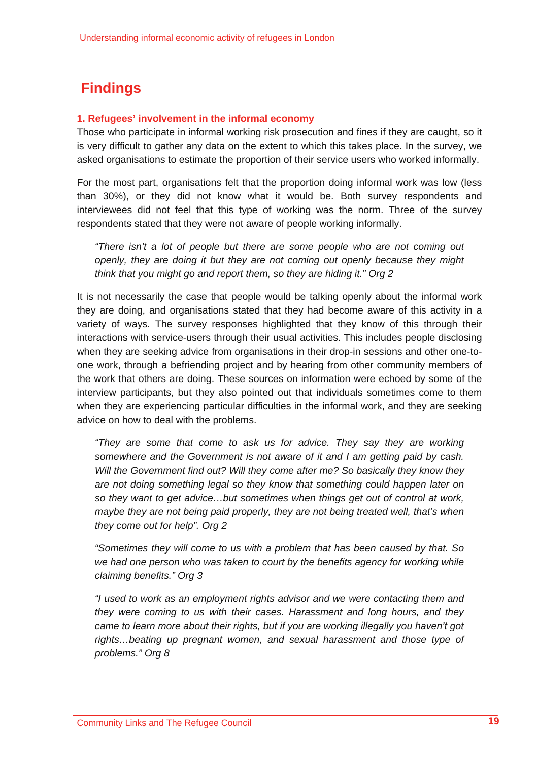# **Findings**

# **1. Refugees' involvement in the informal economy**

Those who participate in informal working risk prosecution and fines if they are caught, so it is very difficult to gather any data on the extent to which this takes place. In the survey, we asked organisations to estimate the proportion of their service users who worked informally.

For the most part, organisations felt that the proportion doing informal work was low (less than 30%), or they did not know what it would be. Both survey respondents and interviewees did not feel that this type of working was the norm. Three of the survey respondents stated that they were not aware of people working informally.

*"There isn't a lot of people but there are some people who are not coming out openly, they are doing it but they are not coming out openly because they might think that you might go and report them, so they are hiding it." Org 2* 

It is not necessarily the case that people would be talking openly about the informal work they are doing, and organisations stated that they had become aware of this activity in a variety of ways. The survey responses highlighted that they know of this through their interactions with service-users through their usual activities. This includes people disclosing when they are seeking advice from organisations in their drop-in sessions and other one-toone work, through a befriending project and by hearing from other community members of the work that others are doing. These sources on information were echoed by some of the interview participants, but they also pointed out that individuals sometimes come to them when they are experiencing particular difficulties in the informal work, and they are seeking advice on how to deal with the problems.

*"They are some that come to ask us for advice. They say they are working somewhere and the Government is not aware of it and I am getting paid by cash. Will the Government find out? Will they come after me? So basically they know they are not doing something legal so they know that something could happen later on so they want to get advice…but sometimes when things get out of control at work, maybe they are not being paid properly, they are not being treated well, that's when they come out for help". Org 2* 

*"Sometimes they will come to us with a problem that has been caused by that. So we had one person who was taken to court by the benefits agency for working while claiming benefits." Org 3* 

*"I used to work as an employment rights advisor and we were contacting them and they were coming to us with their cases. Harassment and long hours, and they came to learn more about their rights, but if you are working illegally you haven't got rights…beating up pregnant women, and sexual harassment and those type of problems." Org 8*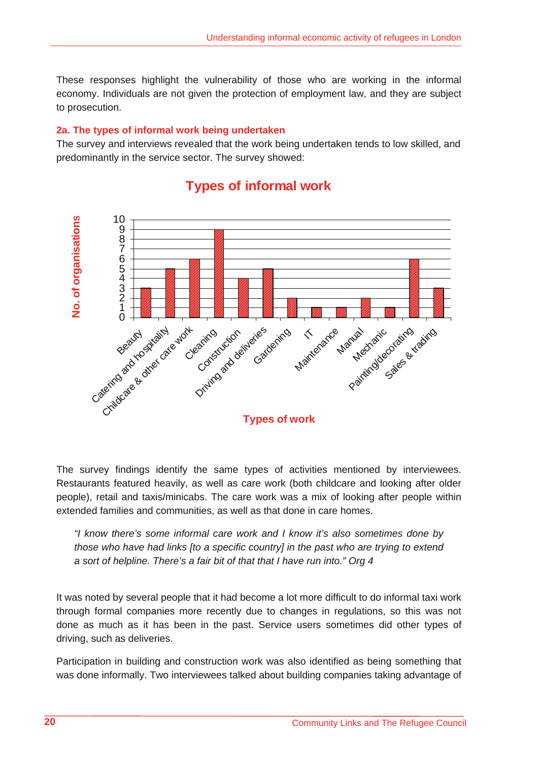These responses highlight the vulnerability of those who are working in the informal economy. Individuals are not given the protection of employment law, and they are subject to prosecution.

# **2a. The types of informal work being undertaken**

The survey and interviews revealed that the work being undertaken tends to low skilled, and predominantly in the service sector. The survey showed:



# **Types of informal work**

The survey findings identify the same types of activities mentioned by interviewees. Restaurants featured heavily, as well as care work (both childcare and looking after older people), retail and taxis/minicabs. The care work was a mix of looking after people within extended families and communities, as well as that done in care homes.

*"I know there's some informal care work and I know it's also sometimes done by those who have had links [to a specific country] in the past who are trying to extend a sort of helpline. There's a fair bit of that that I have run into." Org 4* 

It was noted by several people that it had become a lot more difficult to do informal taxi work through formal companies more recently due to changes in regulations, so this was not done as much as it has been in the past. Service users sometimes did other types of driving, such as deliveries.

Participation in building and construction work was also identified as being something that was done informally. Two interviewees talked about building companies taking advantage of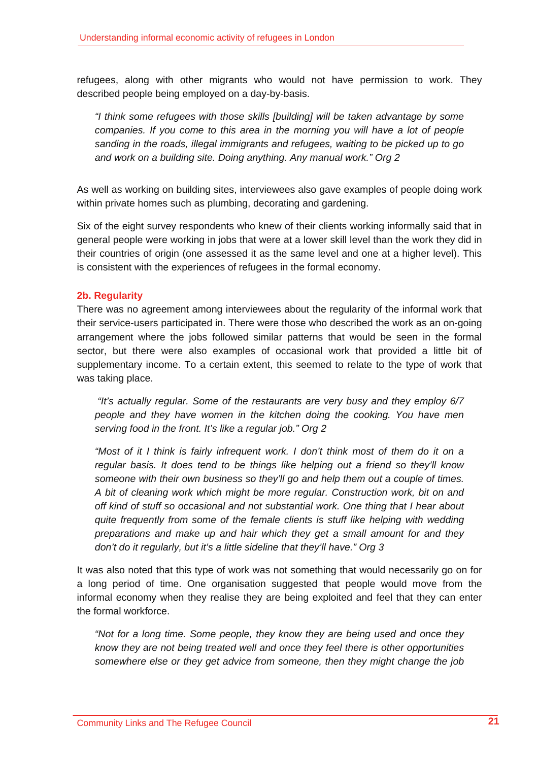refugees, along with other migrants who would not have permission to work. They described people being employed on a day-by-basis.

*"I think some refugees with those skills [building] will be taken advantage by some companies. If you come to this area in the morning you will have a lot of people sanding in the roads, illegal immigrants and refugees, waiting to be picked up to go and work on a building site. Doing anything. Any manual work." Org 2* 

As well as working on building sites, interviewees also gave examples of people doing work within private homes such as plumbing, decorating and gardening.

Six of the eight survey respondents who knew of their clients working informally said that in general people were working in jobs that were at a lower skill level than the work they did in their countries of origin (one assessed it as the same level and one at a higher level). This is consistent with the experiences of refugees in the formal economy.

# **2b. Regularity**

There was no agreement among interviewees about the regularity of the informal work that their service-users participated in. There were those who described the work as an on-going arrangement where the jobs followed similar patterns that would be seen in the formal sector, but there were also examples of occasional work that provided a little bit of supplementary income. To a certain extent, this seemed to relate to the type of work that was taking place.

 *"It's actually regular. Some of the restaurants are very busy and they employ 6/7 people and they have women in the kitchen doing the cooking. You have men serving food in the front. It's like a regular job." Org 2* 

*"Most of it I think is fairly infrequent work. I don't think most of them do it on a regular basis. It does tend to be things like helping out a friend so they'll know someone with their own business so they'll go and help them out a couple of times. A bit of cleaning work which might be more regular. Construction work, bit on and off kind of stuff so occasional and not substantial work. One thing that I hear about quite frequently from some of the female clients is stuff like helping with wedding preparations and make up and hair which they get a small amount for and they don't do it regularly, but it's a little sideline that they'll have." Org 3* 

It was also noted that this type of work was not something that would necessarily go on for a long period of time. One organisation suggested that people would move from the informal economy when they realise they are being exploited and feel that they can enter the formal workforce.

*"Not for a long time. Some people, they know they are being used and once they know they are not being treated well and once they feel there is other opportunities somewhere else or they get advice from someone, then they might change the job*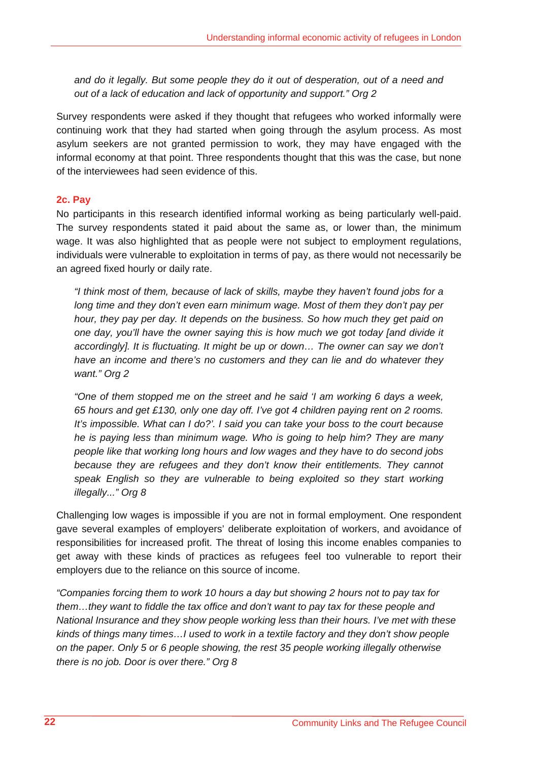*and do it legally. But some people they do it out of desperation, out of a need and out of a lack of education and lack of opportunity and support." Org 2* 

Survey respondents were asked if they thought that refugees who worked informally were continuing work that they had started when going through the asylum process. As most asylum seekers are not granted permission to work, they may have engaged with the informal economy at that point. Three respondents thought that this was the case, but none of the interviewees had seen evidence of this.

# **2c. Pay**

No participants in this research identified informal working as being particularly well-paid. The survey respondents stated it paid about the same as, or lower than, the minimum wage. It was also highlighted that as people were not subject to employment regulations, individuals were vulnerable to exploitation in terms of pay, as there would not necessarily be an agreed fixed hourly or daily rate.

*"I think most of them, because of lack of skills, maybe they haven't found jobs for a long time and they don't even earn minimum wage. Most of them they don't pay per hour, they pay per day. It depends on the business. So how much they get paid on one day, you'll have the owner saying this is how much we got today [and divide it*  accordingly]. It is fluctuating. It might be up or down... The owner can say we don't *have an income and there's no customers and they can lie and do whatever they want." Org 2* 

*"One of them stopped me on the street and he said 'I am working 6 days a week, 65 hours and get £130, only one day off. I've got 4 children paying rent on 2 rooms. It's impossible. What can I do?'. I said you can take your boss to the court because he is paying less than minimum wage. Who is going to help him? They are many people like that working long hours and low wages and they have to do second jobs because they are refugees and they don't know their entitlements. They cannot*  speak English so they are vulnerable to being exploited so they start working *illegally..." Org 8* 

Challenging low wages is impossible if you are not in formal employment. One respondent gave several examples of employers' deliberate exploitation of workers, and avoidance of responsibilities for increased profit. The threat of losing this income enables companies to get away with these kinds of practices as refugees feel too vulnerable to report their employers due to the reliance on this source of income.

*"Companies forcing them to work 10 hours a day but showing 2 hours not to pay tax for them…they want to fiddle the tax office and don't want to pay tax for these people and National Insurance and they show people working less than their hours. I've met with these kinds of things many times…I used to work in a textile factory and they don't show people on the paper. Only 5 or 6 people showing, the rest 35 people working illegally otherwise there is no job. Door is over there." Org 8*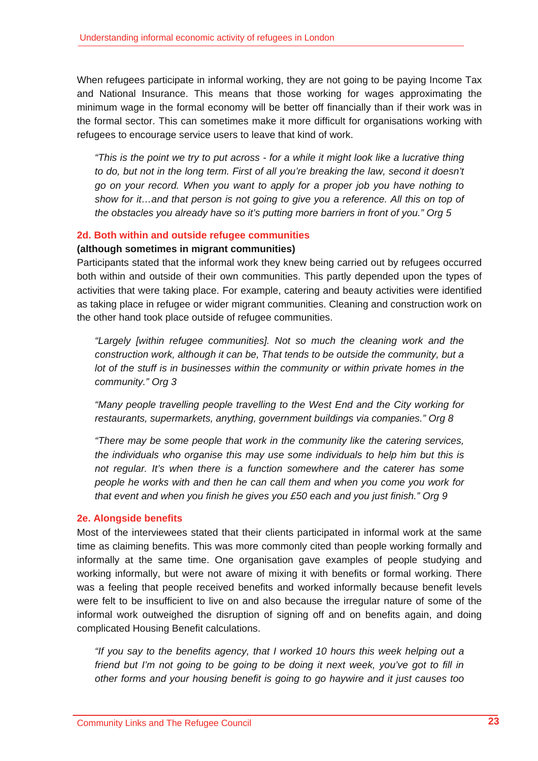When refugees participate in informal working, they are not going to be paying Income Tax and National Insurance. This means that those working for wages approximating the minimum wage in the formal economy will be better off financially than if their work was in the formal sector. This can sometimes make it more difficult for organisations working with refugees to encourage service users to leave that kind of work.

*"This is the point we try to put across - for a while it might look like a lucrative thing to do, but not in the long term. First of all you're breaking the law, second it doesn't go on your record. When you want to apply for a proper job you have nothing to show for it…and that person is not going to give you a reference. All this on top of the obstacles you already have so it's putting more barriers in front of you." Org 5* 

#### **2d. Both within and outside refugee communities**

#### **(although sometimes in migrant communities)**

Participants stated that the informal work they knew being carried out by refugees occurred both within and outside of their own communities. This partly depended upon the types of activities that were taking place. For example, catering and beauty activities were identified as taking place in refugee or wider migrant communities. Cleaning and construction work on the other hand took place outside of refugee communities.

*"Largely [within refugee communities]. Not so much the cleaning work and the construction work, although it can be, That tends to be outside the community, but a lot of the stuff is in businesses within the community or within private homes in the community." Org 3* 

*"Many people travelling people travelling to the West End and the City working for restaurants, supermarkets, anything, government buildings via companies." Org 8* 

*"There may be some people that work in the community like the catering services, the individuals who organise this may use some individuals to help him but this is not regular. It's when there is a function somewhere and the caterer has some people he works with and then he can call them and when you come you work for that event and when you finish he gives you £50 each and you just finish." Org 9* 

#### **2e. Alongside benefits**

Most of the interviewees stated that their clients participated in informal work at the same time as claiming benefits. This was more commonly cited than people working formally and informally at the same time. One organisation gave examples of people studying and working informally, but were not aware of mixing it with benefits or formal working. There was a feeling that people received benefits and worked informally because benefit levels were felt to be insufficient to live on and also because the irregular nature of some of the informal work outweighed the disruption of signing off and on benefits again, and doing complicated Housing Benefit calculations.

*"If you say to the benefits agency, that I worked 10 hours this week helping out a friend but I'm not going to be going to be doing it next week, you've got to fill in other forms and your housing benefit is going to go haywire and it just causes too*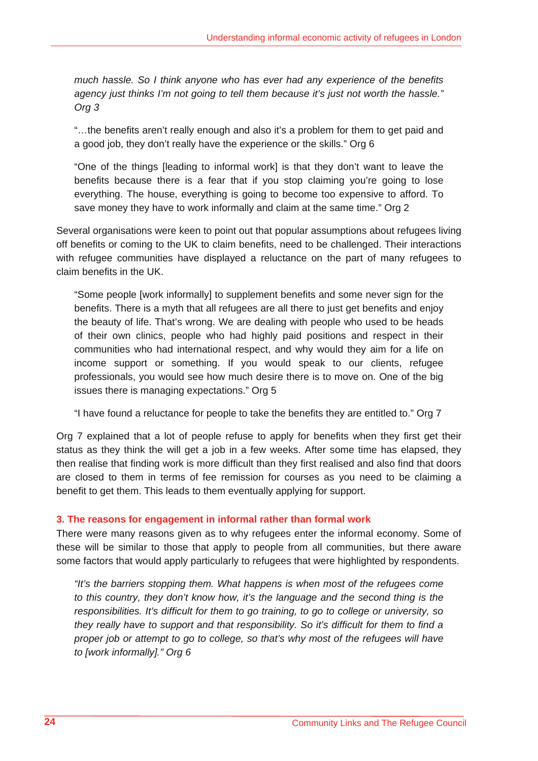*much hassle. So I think anyone who has ever had any experience of the benefits agency just thinks I'm not going to tell them because it's just not worth the hassle." Org 3* 

"…the benefits aren't really enough and also it's a problem for them to get paid and a good job, they don't really have the experience or the skills." Org 6

"One of the things [leading to informal work] is that they don't want to leave the benefits because there is a fear that if you stop claiming you're going to lose everything. The house, everything is going to become too expensive to afford. To save money they have to work informally and claim at the same time." Org 2

Several organisations were keen to point out that popular assumptions about refugees living off benefits or coming to the UK to claim benefits, need to be challenged. Their interactions with refugee communities have displayed a reluctance on the part of many refugees to claim benefits in the UK.

"Some people [work informally] to supplement benefits and some never sign for the benefits. There is a myth that all refugees are all there to just get benefits and enjoy the beauty of life. That's wrong. We are dealing with people who used to be heads of their own clinics, people who had highly paid positions and respect in their communities who had international respect, and why would they aim for a life on income support or something. If you would speak to our clients, refugee professionals, you would see how much desire there is to move on. One of the big issues there is managing expectations." Org 5

"I have found a reluctance for people to take the benefits they are entitled to." Org 7

Org 7 explained that a lot of people refuse to apply for benefits when they first get their status as they think the will get a job in a few weeks. After some time has elapsed, they then realise that finding work is more difficult than they first realised and also find that doors are closed to them in terms of fee remission for courses as you need to be claiming a benefit to get them. This leads to them eventually applying for support.

# **3. The reasons for engagement in informal rather than formal work**

There were many reasons given as to why refugees enter the informal economy. Some of these will be similar to those that apply to people from all communities, but there aware some factors that would apply particularly to refugees that were highlighted by respondents.

*"It's the barriers stopping them. What happens is when most of the refugees come to this country, they don't know how, it's the language and the second thing is the responsibilities. It's difficult for them to go training, to go to college or university, so they really have to support and that responsibility. So it's difficult for them to find a proper job or attempt to go to college, so that's why most of the refugees will have to [work informally]." Org 6*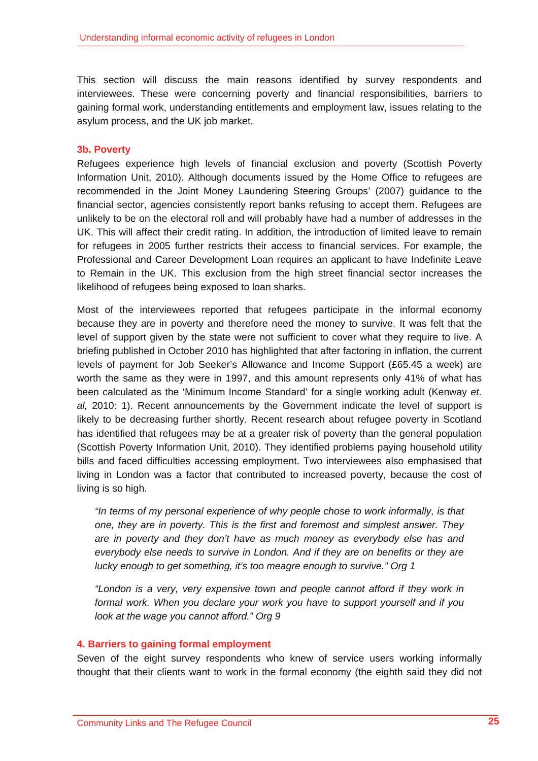This section will discuss the main reasons identified by survey respondents and interviewees. These were concerning poverty and financial responsibilities, barriers to gaining formal work, understanding entitlements and employment law, issues relating to the asylum process, and the UK job market.

#### **3b. Poverty**

Refugees experience high levels of financial exclusion and poverty (Scottish Poverty Information Unit, 2010). Although documents issued by the Home Office to refugees are recommended in the Joint Money Laundering Steering Groups' (2007) guidance to the financial sector, agencies consistently report banks refusing to accept them. Refugees are unlikely to be on the electoral roll and will probably have had a number of addresses in the UK. This will affect their credit rating. In addition, the introduction of limited leave to remain for refugees in 2005 further restricts their access to financial services. For example, the Professional and Career Development Loan requires an applicant to have Indefinite Leave to Remain in the UK. This exclusion from the high street financial sector increases the likelihood of refugees being exposed to loan sharks.

Most of the interviewees reported that refugees participate in the informal economy because they are in poverty and therefore need the money to survive. It was felt that the level of support given by the state were not sufficient to cover what they require to live. A briefing published in October 2010 has highlighted that after factoring in inflation, the current levels of payment for Job Seeker's Allowance and Income Support (£65.45 a week) are worth the same as they were in 1997, and this amount represents only 41% of what has been calculated as the 'Minimum Income Standard' for a single working adult (Kenway *et. al,* 2010: 1). Recent announcements by the Government indicate the level of support is likely to be decreasing further shortly. Recent research about refugee poverty in Scotland has identified that refugees may be at a greater risk of poverty than the general population (Scottish Poverty Information Unit, 2010). They identified problems paying household utility bills and faced difficulties accessing employment. Two interviewees also emphasised that living in London was a factor that contributed to increased poverty, because the cost of living is so high.

*"In terms of my personal experience of why people chose to work informally, is that one, they are in poverty. This is the first and foremost and simplest answer. They are in poverty and they don't have as much money as everybody else has and everybody else needs to survive in London. And if they are on benefits or they are lucky enough to get something, it's too meagre enough to survive." Org 1* 

*"London is a very, very expensive town and people cannot afford if they work in formal work. When you declare your work you have to support yourself and if you look at the wage you cannot afford." Org 9* 

#### **4. Barriers to gaining formal employment**

Seven of the eight survey respondents who knew of service users working informally thought that their clients want to work in the formal economy (the eighth said they did not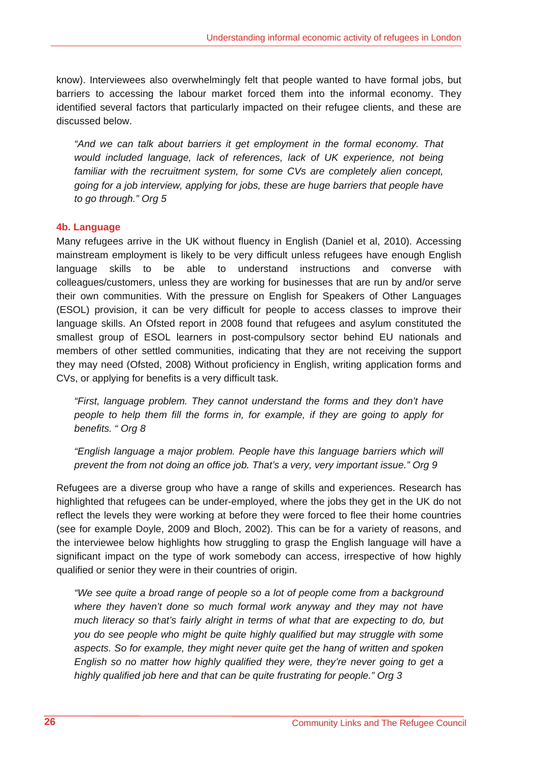know). Interviewees also overwhelmingly felt that people wanted to have formal jobs, but barriers to accessing the labour market forced them into the informal economy. They identified several factors that particularly impacted on their refugee clients, and these are discussed below.

*"And we can talk about barriers it get employment in the formal economy. That would included language, lack of references, lack of UK experience, not being*  familiar with the recruitment system, for some CVs are completely alien concept, *going for a job interview, applying for jobs, these are huge barriers that people have to go through." Org 5* 

# **4b. Language**

Many refugees arrive in the UK without fluency in English (Daniel et al, 2010). Accessing mainstream employment is likely to be very difficult unless refugees have enough English language skills to be able to understand instructions and converse with colleagues/customers, unless they are working for businesses that are run by and/or serve their own communities. With the pressure on English for Speakers of Other Languages (ESOL) provision, it can be very difficult for people to access classes to improve their language skills. An Ofsted report in 2008 found that refugees and asylum constituted the smallest group of ESOL learners in post-compulsory sector behind EU nationals and members of other settled communities, indicating that they are not receiving the support they may need (Ofsted, 2008) Without proficiency in English, writing application forms and CVs, or applying for benefits is a very difficult task.

*"First, language problem. They cannot understand the forms and they don't have people to help them fill the forms in, for example, if they are going to apply for benefits. " Org 8* 

*"English language a major problem. People have this language barriers which will prevent the from not doing an office job. That's a very, very important issue." Org 9* 

Refugees are a diverse group who have a range of skills and experiences. Research has highlighted that refugees can be under-employed, where the jobs they get in the UK do not reflect the levels they were working at before they were forced to flee their home countries (see for example Doyle, 2009 and Bloch, 2002). This can be for a variety of reasons, and the interviewee below highlights how struggling to grasp the English language will have a significant impact on the type of work somebody can access, irrespective of how highly qualified or senior they were in their countries of origin.

*"We see quite a broad range of people so a lot of people come from a background where they haven't done so much formal work anyway and they may not have much literacy so that's fairly alright in terms of what that are expecting to do, but you do see people who might be quite highly qualified but may struggle with some aspects. So for example, they might never quite get the hang of written and spoken English so no matter how highly qualified they were, they're never going to get a highly qualified job here and that can be quite frustrating for people." Org 3*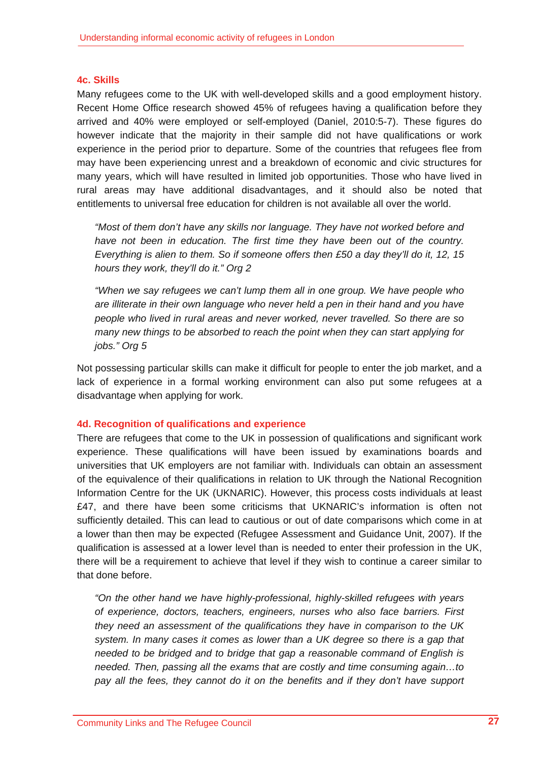#### **4c. Skills**

Many refugees come to the UK with well-developed skills and a good employment history. Recent Home Office research showed 45% of refugees having a qualification before they arrived and 40% were employed or self-employed (Daniel, 2010:5-7). These figures do however indicate that the majority in their sample did not have qualifications or work experience in the period prior to departure. Some of the countries that refugees flee from may have been experiencing unrest and a breakdown of economic and civic structures for many years, which will have resulted in limited job opportunities. Those who have lived in rural areas may have additional disadvantages, and it should also be noted that entitlements to universal free education for children is not available all over the world.

*"Most of them don't have any skills nor language. They have not worked before and have not been in education. The first time they have been out of the country. Everything is alien to them. So if someone offers then £50 a day they'll do it, 12, 15 hours they work, they'll do it." Org 2* 

*"When we say refugees we can't lump them all in one group. We have people who are illiterate in their own language who never held a pen in their hand and you have people who lived in rural areas and never worked, never travelled. So there are so many new things to be absorbed to reach the point when they can start applying for jobs." Org 5* 

Not possessing particular skills can make it difficult for people to enter the job market, and a lack of experience in a formal working environment can also put some refugees at a disadvantage when applying for work.

#### **4d. Recognition of qualifications and experience**

There are refugees that come to the UK in possession of qualifications and significant work experience. These qualifications will have been issued by examinations boards and universities that UK employers are not familiar with. Individuals can obtain an assessment of the equivalence of their qualifications in relation to UK through the National Recognition Information Centre for the UK (UKNARIC). However, this process costs individuals at least £47, and there have been some criticisms that UKNARIC's information is often not sufficiently detailed. This can lead to cautious or out of date comparisons which come in at a lower than then may be expected (Refugee Assessment and Guidance Unit, 2007). If the qualification is assessed at a lower level than is needed to enter their profession in the UK, there will be a requirement to achieve that level if they wish to continue a career similar to that done before.

*"On the other hand we have highly-professional, highly-skilled refugees with years of experience, doctors, teachers, engineers, nurses who also face barriers. First they need an assessment of the qualifications they have in comparison to the UK system. In many cases it comes as lower than a UK degree so there is a gap that needed to be bridged and to bridge that gap a reasonable command of English is needed. Then, passing all the exams that are costly and time consuming again…to*  pay all the fees, they cannot do it on the benefits and if they don't have support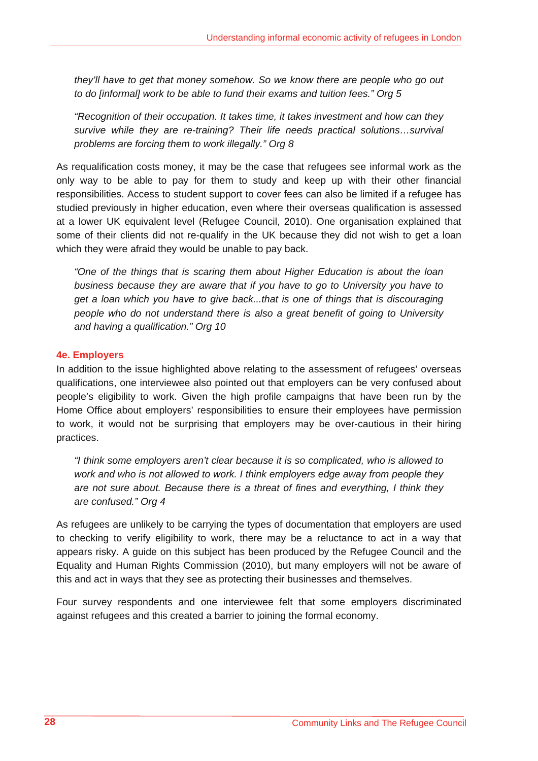*they'll have to get that money somehow. So we know there are people who go out to do [informal] work to be able to fund their exams and tuition fees." Org 5* 

*"Recognition of their occupation. It takes time, it takes investment and how can they survive while they are re-training? Their life needs practical solutions…survival problems are forcing them to work illegally." Org 8* 

As requalification costs money, it may be the case that refugees see informal work as the only way to be able to pay for them to study and keep up with their other financial responsibilities. Access to student support to cover fees can also be limited if a refugee has studied previously in higher education, even where their overseas qualification is assessed at a lower UK equivalent level (Refugee Council, 2010). One organisation explained that some of their clients did not re-qualify in the UK because they did not wish to get a loan which they were afraid they would be unable to pay back.

*"One of the things that is scaring them about Higher Education is about the loan business because they are aware that if you have to go to University you have to get a loan which you have to give back...that is one of things that is discouraging people who do not understand there is also a great benefit of going to University and having a qualification." Org 10* 

#### **4e. Employers**

In addition to the issue highlighted above relating to the assessment of refugees' overseas qualifications, one interviewee also pointed out that employers can be very confused about people's eligibility to work. Given the high profile campaigns that have been run by the Home Office about employers' responsibilities to ensure their employees have permission to work, it would not be surprising that employers may be over-cautious in their hiring practices.

*"I think some employers aren't clear because it is so complicated, who is allowed to work and who is not allowed to work. I think employers edge away from people they are not sure about. Because there is a threat of fines and everything, I think they are confused." Org 4* 

As refugees are unlikely to be carrying the types of documentation that employers are used to checking to verify eligibility to work, there may be a reluctance to act in a way that appears risky. A guide on this subject has been produced by the Refugee Council and the Equality and Human Rights Commission (2010), but many employers will not be aware of this and act in ways that they see as protecting their businesses and themselves.

Four survey respondents and one interviewee felt that some employers discriminated against refugees and this created a barrier to joining the formal economy.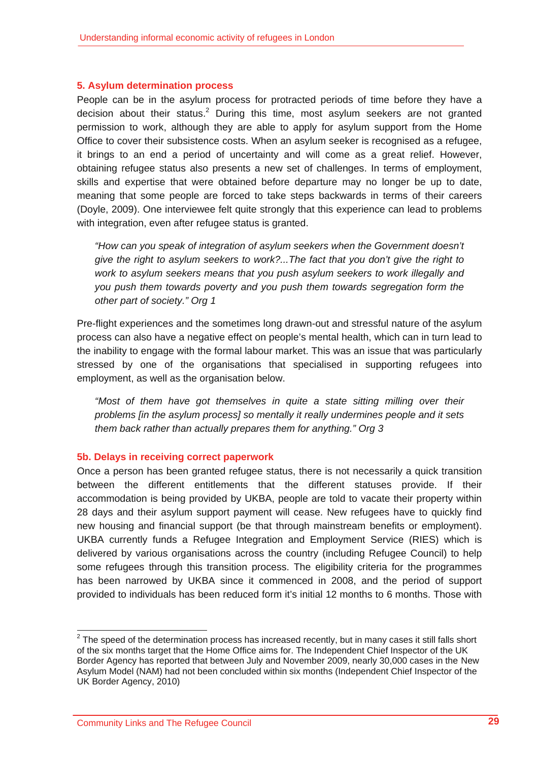#### **5. Asylum determination process**

People can be in the asylum process for protracted periods of time before they have a decision about their status. $2$  During this time, most asylum seekers are not granted permission to work, although they are able to apply for asylum support from the Home Office to cover their subsistence costs. When an asylum seeker is recognised as a refugee, it brings to an end a period of uncertainty and will come as a great relief. However, obtaining refugee status also presents a new set of challenges. In terms of employment, skills and expertise that were obtained before departure may no longer be up to date, meaning that some people are forced to take steps backwards in terms of their careers (Doyle, 2009). One interviewee felt quite strongly that this experience can lead to problems with integration, even after refugee status is granted.

*"How can you speak of integration of asylum seekers when the Government doesn't give the right to asylum seekers to work?...The fact that you don't give the right to work to asylum seekers means that you push asylum seekers to work illegally and you push them towards poverty and you push them towards segregation form the other part of society." Org 1* 

Pre-flight experiences and the sometimes long drawn-out and stressful nature of the asylum process can also have a negative effect on people's mental health, which can in turn lead to the inability to engage with the formal labour market. This was an issue that was particularly stressed by one of the organisations that specialised in supporting refugees into employment, as well as the organisation below.

*"Most of them have got themselves in quite a state sitting milling over their problems [in the asylum process] so mentally it really undermines people and it sets them back rather than actually prepares them for anything." Org 3* 

#### **5b. Delays in receiving correct paperwork**

Once a person has been granted refugee status, there is not necessarily a quick transition between the different entitlements that the different statuses provide. If their accommodation is being provided by UKBA, people are told to vacate their property within 28 days and their asylum support payment will cease. New refugees have to quickly find new housing and financial support (be that through mainstream benefits or employment). UKBA currently funds a Refugee Integration and Employment Service (RIES) which is delivered by various organisations across the country (including Refugee Council) to help some refugees through this transition process. The eligibility criteria for the programmes has been narrowed by UKBA since it commenced in 2008, and the period of support provided to individuals has been reduced form it's initial 12 months to 6 months. Those with

<sup>&</sup>lt;u>2</u><br><sup>2</sup> The speed of the determination process has increased recently, but in many cases it still falls short of the six months target that the Home Office aims for. The Independent Chief Inspector of the UK Border Agency has reported that between July and November 2009, nearly 30,000 cases in the New Asylum Model (NAM) had not been concluded within six months (Independent Chief Inspector of the UK Border Agency, 2010)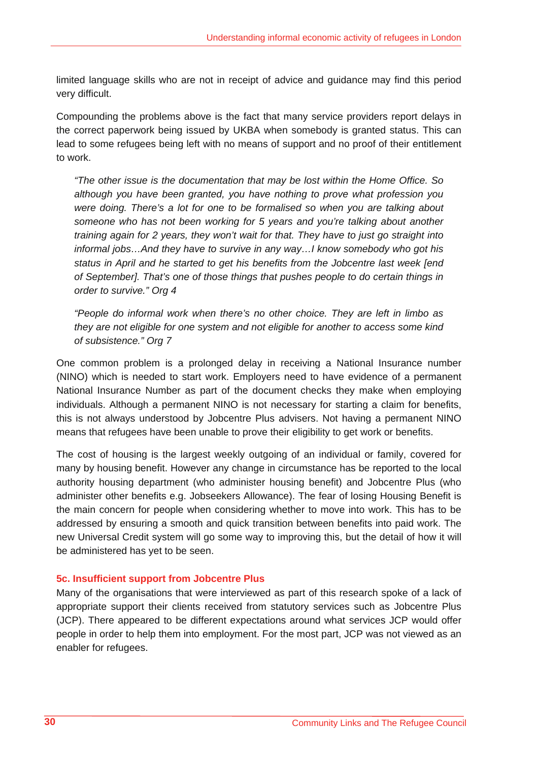limited language skills who are not in receipt of advice and guidance may find this period very difficult.

Compounding the problems above is the fact that many service providers report delays in the correct paperwork being issued by UKBA when somebody is granted status. This can lead to some refugees being left with no means of support and no proof of their entitlement to work.

*"The other issue is the documentation that may be lost within the Home Office. So although you have been granted, you have nothing to prove what profession you were doing. There's a lot for one to be formalised so when you are talking about someone who has not been working for 5 years and you're talking about another training again for 2 years, they won't wait for that. They have to just go straight into informal jobs…And they have to survive in any way…I know somebody who got his status in April and he started to get his benefits from the Jobcentre last week [end of September]. That's one of those things that pushes people to do certain things in order to survive." Org 4* 

*"People do informal work when there's no other choice. They are left in limbo as they are not eligible for one system and not eligible for another to access some kind of subsistence." Org 7* 

One common problem is a prolonged delay in receiving a National Insurance number (NINO) which is needed to start work. Employers need to have evidence of a permanent National Insurance Number as part of the document checks they make when employing individuals. Although a permanent NINO is not necessary for starting a claim for benefits, this is not always understood by Jobcentre Plus advisers. Not having a permanent NINO means that refugees have been unable to prove their eligibility to get work or benefits.

The cost of housing is the largest weekly outgoing of an individual or family, covered for many by housing benefit. However any change in circumstance has be reported to the local authority housing department (who administer housing benefit) and Jobcentre Plus (who administer other benefits e.g. Jobseekers Allowance). The fear of losing Housing Benefit is the main concern for people when considering whether to move into work. This has to be addressed by ensuring a smooth and quick transition between benefits into paid work. The new Universal Credit system will go some way to improving this, but the detail of how it will be administered has yet to be seen.

# **5c. Insufficient support from Jobcentre Plus**

Many of the organisations that were interviewed as part of this research spoke of a lack of appropriate support their clients received from statutory services such as Jobcentre Plus (JCP). There appeared to be different expectations around what services JCP would offer people in order to help them into employment. For the most part, JCP was not viewed as an enabler for refugees.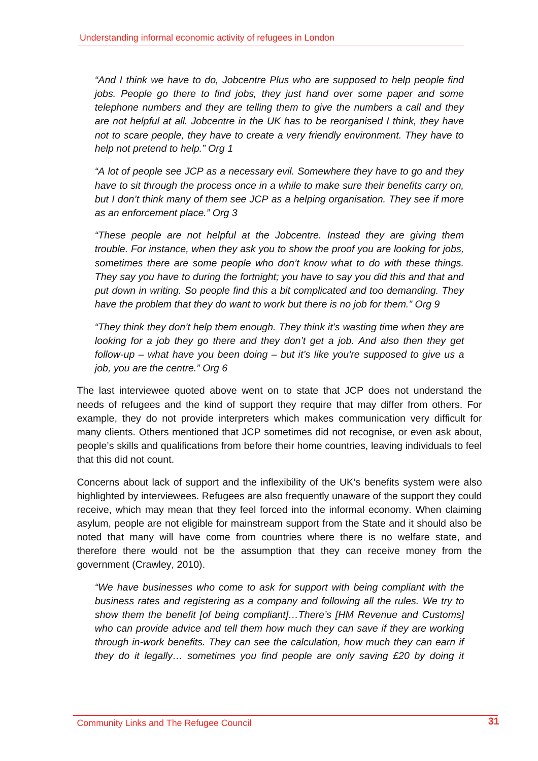*"And I think we have to do, Jobcentre Plus who are supposed to help people find jobs. People go there to find jobs, they just hand over some paper and some telephone numbers and they are telling them to give the numbers a call and they are not helpful at all. Jobcentre in the UK has to be reorganised I think, they have not to scare people, they have to create a very friendly environment. They have to help not pretend to help." Org 1* 

*"A lot of people see JCP as a necessary evil. Somewhere they have to go and they have to sit through the process once in a while to make sure their benefits carry on,*  but I don't think many of them see JCP as a helping organisation. They see if more *as an enforcement place." Org 3* 

*"These people are not helpful at the Jobcentre. Instead they are giving them trouble. For instance, when they ask you to show the proof you are looking for jobs, sometimes there are some people who don't know what to do with these things. They say you have to during the fortnight; you have to say you did this and that and put down in writing. So people find this a bit complicated and too demanding. They have the problem that they do want to work but there is no job for them." Org 9* 

*"They think they don't help them enough. They think it's wasting time when they are looking for a job they go there and they don't get a job. And also then they get follow-up – what have you been doing – but it's like you're supposed to give us a job, you are the centre." Org 6* 

The last interviewee quoted above went on to state that JCP does not understand the needs of refugees and the kind of support they require that may differ from others. For example, they do not provide interpreters which makes communication very difficult for many clients. Others mentioned that JCP sometimes did not recognise, or even ask about, people's skills and qualifications from before their home countries, leaving individuals to feel that this did not count.

Concerns about lack of support and the inflexibility of the UK's benefits system were also highlighted by interviewees. Refugees are also frequently unaware of the support they could receive, which may mean that they feel forced into the informal economy. When claiming asylum, people are not eligible for mainstream support from the State and it should also be noted that many will have come from countries where there is no welfare state, and therefore there would not be the assumption that they can receive money from the government (Crawley, 2010).

*"We have businesses who come to ask for support with being compliant with the business rates and registering as a company and following all the rules. We try to show them the benefit [of being compliant]…There's [HM Revenue and Customs]*  who can provide advice and tell them how much they can save if they are working *through in-work benefits. They can see the calculation, how much they can earn if they do it legally… sometimes you find people are only saving £20 by doing it*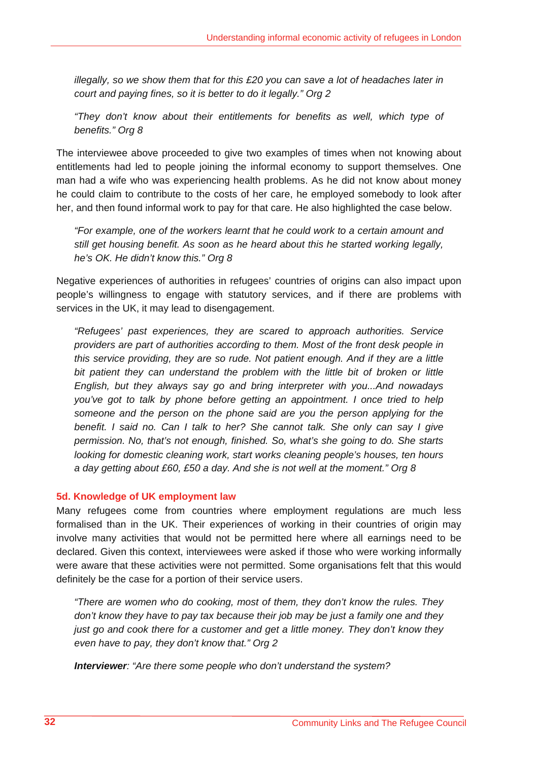*illegally, so we show them that for this £20 you can save a lot of headaches later in court and paying fines, so it is better to do it legally." Org 2* 

*"They don't know about their entitlements for benefits as well, which type of benefits." Org 8* 

The interviewee above proceeded to give two examples of times when not knowing about entitlements had led to people joining the informal economy to support themselves. One man had a wife who was experiencing health problems. As he did not know about money he could claim to contribute to the costs of her care, he employed somebody to look after her, and then found informal work to pay for that care. He also highlighted the case below.

*"For example, one of the workers learnt that he could work to a certain amount and still get housing benefit. As soon as he heard about this he started working legally, he's OK. He didn't know this." Org 8* 

Negative experiences of authorities in refugees' countries of origins can also impact upon people's willingness to engage with statutory services, and if there are problems with services in the UK, it may lead to disengagement.

*"Refugees' past experiences, they are scared to approach authorities. Service providers are part of authorities according to them. Most of the front desk people in this service providing, they are so rude. Not patient enough. And if they are a little bit patient they can understand the problem with the little bit of broken or little English, but they always say go and bring interpreter with you...And nowadays you've got to talk by phone before getting an appointment. I once tried to help someone and the person on the phone said are you the person applying for the benefit. I said no. Can I talk to her? She cannot talk. She only can say I give permission. No, that's not enough, finished. So, what's she going to do. She starts looking for domestic cleaning work, start works cleaning people's houses, ten hours a day getting about £60, £50 a day. And she is not well at the moment." Org 8* 

# **5d. Knowledge of UK employment law**

Many refugees come from countries where employment regulations are much less formalised than in the UK. Their experiences of working in their countries of origin may involve many activities that would not be permitted here where all earnings need to be declared. Given this context, interviewees were asked if those who were working informally were aware that these activities were not permitted. Some organisations felt that this would definitely be the case for a portion of their service users.

*"There are women who do cooking, most of them, they don't know the rules. They don't know they have to pay tax because their job may be just a family one and they just go and cook there for a customer and get a little money. They don't know they even have to pay, they don't know that." Org 2* 

*Interviewer: "Are there some people who don't understand the system?*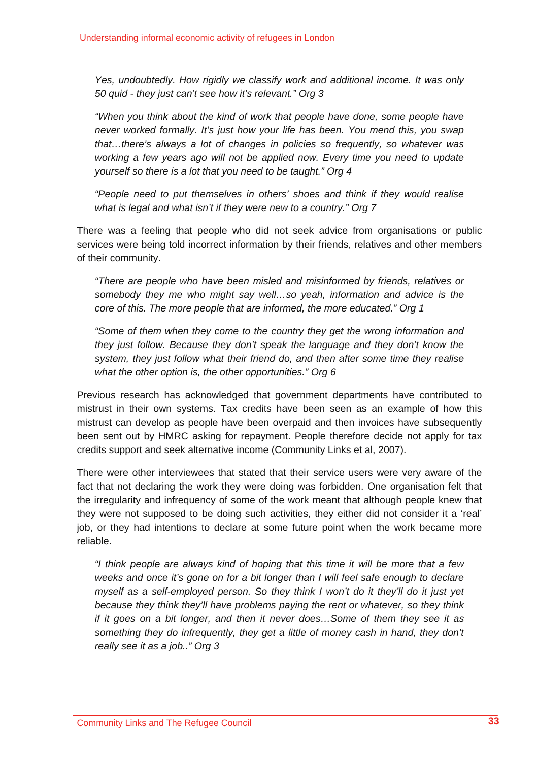*Yes, undoubtedly. How rigidly we classify work and additional income. It was only 50 quid - they just can't see how it's relevant." Org 3* 

*"When you think about the kind of work that people have done, some people have never worked formally. It's just how your life has been. You mend this, you swap that…there's always a lot of changes in policies so frequently, so whatever was working a few years ago will not be applied now. Every time you need to update yourself so there is a lot that you need to be taught." Org 4* 

*"People need to put themselves in others' shoes and think if they would realise what is legal and what isn't if they were new to a country." Org 7* 

There was a feeling that people who did not seek advice from organisations or public services were being told incorrect information by their friends, relatives and other members of their community.

*"There are people who have been misled and misinformed by friends, relatives or somebody they me who might say well…so yeah, information and advice is the core of this. The more people that are informed, the more educated." Org 1* 

*"Some of them when they come to the country they get the wrong information and they just follow. Because they don't speak the language and they don't know the system, they just follow what their friend do, and then after some time they realise what the other option is, the other opportunities." Org 6* 

Previous research has acknowledged that government departments have contributed to mistrust in their own systems. Tax credits have been seen as an example of how this mistrust can develop as people have been overpaid and then invoices have subsequently been sent out by HMRC asking for repayment. People therefore decide not apply for tax credits support and seek alternative income (Community Links et al, 2007).

There were other interviewees that stated that their service users were very aware of the fact that not declaring the work they were doing was forbidden. One organisation felt that the irregularity and infrequency of some of the work meant that although people knew that they were not supposed to be doing such activities, they either did not consider it a 'real' job, or they had intentions to declare at some future point when the work became more reliable.

*"I think people are always kind of hoping that this time it will be more that a few weeks and once it's gone on for a bit longer than I will feel safe enough to declare myself as a self-employed person. So they think I won't do it they'll do it just yet because they think they'll have problems paying the rent or whatever, so they think if it goes on a bit longer, and then it never does…Some of them they see it as something they do infrequently, they get a little of money cash in hand, they don't really see it as a job.." Org 3*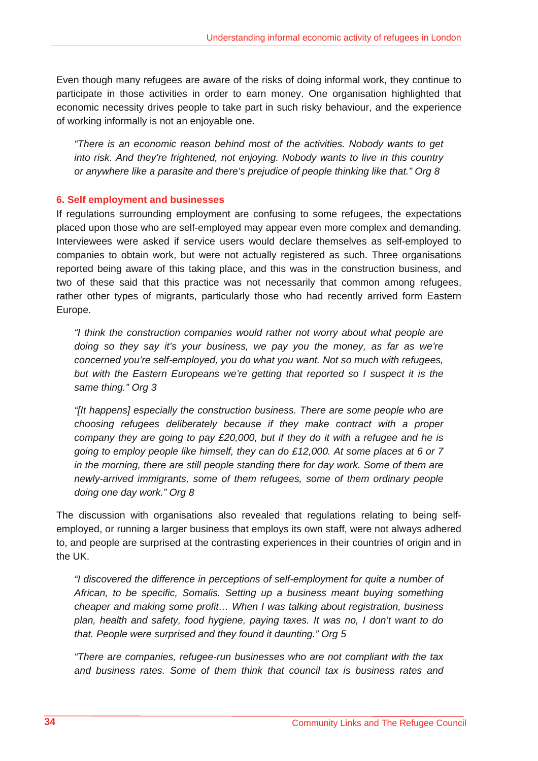Even though many refugees are aware of the risks of doing informal work, they continue to participate in those activities in order to earn money. One organisation highlighted that economic necessity drives people to take part in such risky behaviour, and the experience of working informally is not an enjoyable one.

*"There is an economic reason behind most of the activities. Nobody wants to get into risk. And they're frightened, not enjoying. Nobody wants to live in this country or anywhere like a parasite and there's prejudice of people thinking like that." Org 8* 

# **6. Self employment and businesses**

If regulations surrounding employment are confusing to some refugees, the expectations placed upon those who are self-employed may appear even more complex and demanding. Interviewees were asked if service users would declare themselves as self-employed to companies to obtain work, but were not actually registered as such. Three organisations reported being aware of this taking place, and this was in the construction business, and two of these said that this practice was not necessarily that common among refugees, rather other types of migrants, particularly those who had recently arrived form Eastern Europe.

*"I think the construction companies would rather not worry about what people are doing so they say it's your business, we pay you the money, as far as we're concerned you're self-employed, you do what you want. Not so much with refugees, but with the Eastern Europeans we're getting that reported so I suspect it is the same thing." Org 3* 

*"[It happens] especially the construction business. There are some people who are choosing refugees deliberately because if they make contract with a proper company they are going to pay £20,000, but if they do it with a refugee and he is going to employ people like himself, they can do £12,000. At some places at 6 or 7 in the morning, there are still people standing there for day work. Some of them are newly-arrived immigrants, some of them refugees, some of them ordinary people doing one day work." Org 8* 

The discussion with organisations also revealed that regulations relating to being selfemployed, or running a larger business that employs its own staff, were not always adhered to, and people are surprised at the contrasting experiences in their countries of origin and in the UK.

*"I discovered the difference in perceptions of self-employment for quite a number of African, to be specific, Somalis. Setting up a business meant buying something cheaper and making some profit… When I was talking about registration, business plan, health and safety, food hygiene, paying taxes. It was no, I don't want to do that. People were surprised and they found it daunting." Org 5* 

*"There are companies, refugee-run businesses who are not compliant with the tax and business rates. Some of them think that council tax is business rates and*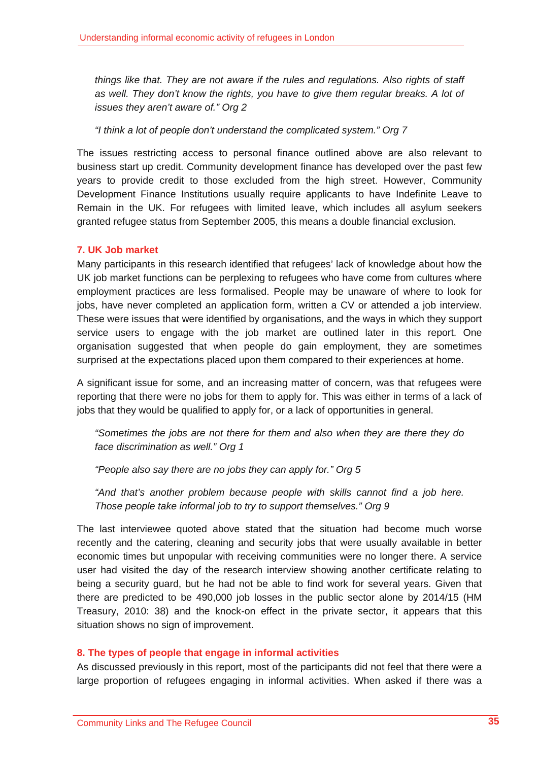*things like that. They are not aware if the rules and regulations. Also rights of staff*  as well. They don't know the rights, you have to give them regular breaks. A lot of *issues they aren't aware of." Org 2* 

*"I think a lot of people don't understand the complicated system." Org 7* 

The issues restricting access to personal finance outlined above are also relevant to business start up credit. Community development finance has developed over the past few years to provide credit to those excluded from the high street. However, Community Development Finance Institutions usually require applicants to have Indefinite Leave to Remain in the UK. For refugees with limited leave, which includes all asylum seekers granted refugee status from September 2005, this means a double financial exclusion.

# **7. UK Job market**

Many participants in this research identified that refugees' lack of knowledge about how the UK job market functions can be perplexing to refugees who have come from cultures where employment practices are less formalised. People may be unaware of where to look for jobs, have never completed an application form, written a CV or attended a job interview. These were issues that were identified by organisations, and the ways in which they support service users to engage with the job market are outlined later in this report. One organisation suggested that when people do gain employment, they are sometimes surprised at the expectations placed upon them compared to their experiences at home.

A significant issue for some, and an increasing matter of concern, was that refugees were reporting that there were no jobs for them to apply for. This was either in terms of a lack of jobs that they would be qualified to apply for, or a lack of opportunities in general.

*"Sometimes the jobs are not there for them and also when they are there they do face discrimination as well." Org 1* 

*"People also say there are no jobs they can apply for." Org 5* 

"And that's another problem because people with skills cannot find a job here. *Those people take informal job to try to support themselves." Org 9* 

The last interviewee quoted above stated that the situation had become much worse recently and the catering, cleaning and security jobs that were usually available in better economic times but unpopular with receiving communities were no longer there. A service user had visited the day of the research interview showing another certificate relating to being a security guard, but he had not be able to find work for several years. Given that there are predicted to be 490,000 job losses in the public sector alone by 2014/15 (HM Treasury, 2010: 38) and the knock-on effect in the private sector, it appears that this situation shows no sign of improvement.

# **8. The types of people that engage in informal activities**

As discussed previously in this report, most of the participants did not feel that there were a large proportion of refugees engaging in informal activities. When asked if there was a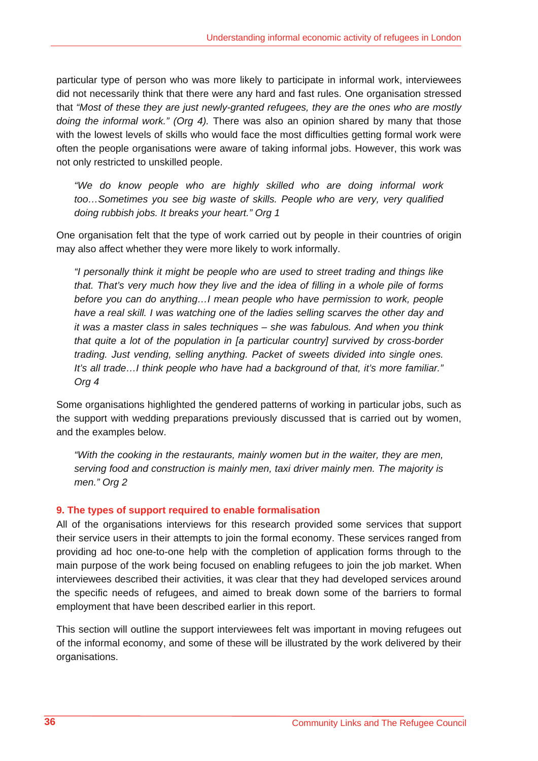particular type of person who was more likely to participate in informal work, interviewees did not necessarily think that there were any hard and fast rules. One organisation stressed that *"Most of these they are just newly-granted refugees, they are the ones who are mostly doing the informal work." (Org 4).* There was also an opinion shared by many that those with the lowest levels of skills who would face the most difficulties getting formal work were often the people organisations were aware of taking informal jobs. However, this work was not only restricted to unskilled people.

*"We do know people who are highly skilled who are doing informal work too…Sometimes you see big waste of skills. People who are very, very qualified doing rubbish jobs. It breaks your heart." Org 1* 

One organisation felt that the type of work carried out by people in their countries of origin may also affect whether they were more likely to work informally.

*"I personally think it might be people who are used to street trading and things like that. That's very much how they live and the idea of filling in a whole pile of forms before you can do anything…I mean people who have permission to work, people have a real skill. I was watching one of the ladies selling scarves the other day and it was a master class in sales techniques – she was fabulous. And when you think that quite a lot of the population in [a particular country] survived by cross-border trading. Just vending, selling anything. Packet of sweets divided into single ones. It's all trade…I think people who have had a background of that, it's more familiar." Org 4* 

Some organisations highlighted the gendered patterns of working in particular jobs, such as the support with wedding preparations previously discussed that is carried out by women, and the examples below.

*"With the cooking in the restaurants, mainly women but in the waiter, they are men, serving food and construction is mainly men, taxi driver mainly men. The majority is men." Org 2* 

# **9. The types of support required to enable formalisation**

All of the organisations interviews for this research provided some services that support their service users in their attempts to join the formal economy. These services ranged from providing ad hoc one-to-one help with the completion of application forms through to the main purpose of the work being focused on enabling refugees to join the job market. When interviewees described their activities, it was clear that they had developed services around the specific needs of refugees, and aimed to break down some of the barriers to formal employment that have been described earlier in this report.

This section will outline the support interviewees felt was important in moving refugees out of the informal economy, and some of these will be illustrated by the work delivered by their organisations.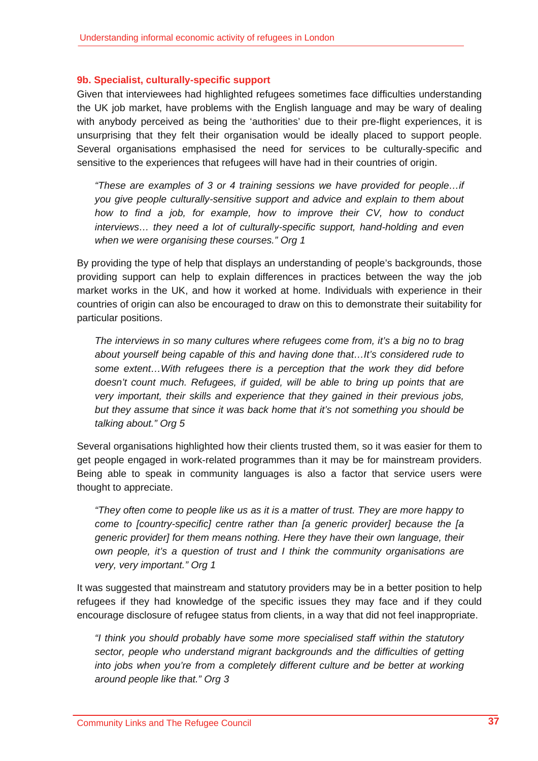# **9b. Specialist, culturally-specific support**

Given that interviewees had highlighted refugees sometimes face difficulties understanding the UK job market, have problems with the English language and may be wary of dealing with anybody perceived as being the 'authorities' due to their pre-flight experiences, it is unsurprising that they felt their organisation would be ideally placed to support people. Several organisations emphasised the need for services to be culturally-specific and sensitive to the experiences that refugees will have had in their countries of origin.

*"These are examples of 3 or 4 training sessions we have provided for people…if you give people culturally-sensitive support and advice and explain to them about how to find a job, for example, how to improve their CV, how to conduct interviews… they need a lot of culturally-specific support, hand-holding and even when we were organising these courses." Org 1* 

By providing the type of help that displays an understanding of people's backgrounds, those providing support can help to explain differences in practices between the way the job market works in the UK, and how it worked at home. Individuals with experience in their countries of origin can also be encouraged to draw on this to demonstrate their suitability for particular positions.

*The interviews in so many cultures where refugees come from, it's a big no to brag about yourself being capable of this and having done that…It's considered rude to some extent…With refugees there is a perception that the work they did before doesn't count much. Refugees, if guided, will be able to bring up points that are very important, their skills and experience that they gained in their previous jobs, but they assume that since it was back home that it's not something you should be talking about." Org 5* 

Several organisations highlighted how their clients trusted them, so it was easier for them to get people engaged in work-related programmes than it may be for mainstream providers. Being able to speak in community languages is also a factor that service users were thought to appreciate.

*"They often come to people like us as it is a matter of trust. They are more happy to come to [country-specific] centre rather than [a generic provider] because the [a generic provider] for them means nothing. Here they have their own language, their own people, it's a question of trust and I think the community organisations are very, very important." Org 1* 

It was suggested that mainstream and statutory providers may be in a better position to help refugees if they had knowledge of the specific issues they may face and if they could encourage disclosure of refugee status from clients, in a way that did not feel inappropriate.

*"I think you should probably have some more specialised staff within the statutory sector, people who understand migrant backgrounds and the difficulties of getting into jobs when you're from a completely different culture and be better at working around people like that." Org 3*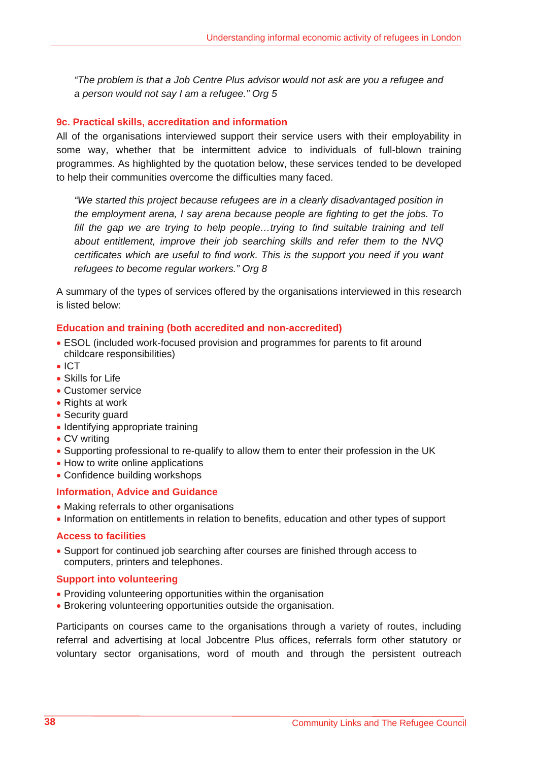*"The problem is that a Job Centre Plus advisor would not ask are you a refugee and a person would not say I am a refugee." Org 5* 

# **9c. Practical skills, accreditation and information**

All of the organisations interviewed support their service users with their employability in some way, whether that be intermittent advice to individuals of full-blown training programmes. As highlighted by the quotation below, these services tended to be developed to help their communities overcome the difficulties many faced.

*"We started this project because refugees are in a clearly disadvantaged position in the employment arena, I say arena because people are fighting to get the jobs. To*  fill the gap we are trying to help people...trying to find suitable training and tell *about entitlement, improve their job searching skills and refer them to the NVQ certificates which are useful to find work. This is the support you need if you want refugees to become regular workers." Org 8* 

A summary of the types of services offered by the organisations interviewed in this research is listed below:

# **Education and training (both accredited and non-accredited)**

- ESOL (included work-focused provision and programmes for parents to fit around childcare responsibilities)
- ICT
- Skills for Life
- Customer service
- Rights at work
- Security guard
- Identifying appropriate training
- CV writing
- Supporting professional to re-qualify to allow them to enter their profession in the UK
- How to write online applications
- Confidence building workshops

# **Information, Advice and Guidance**

- Making referrals to other organisations
- Information on entitlements in relation to benefits, education and other types of support

#### **Access to facilities**

• Support for continued job searching after courses are finished through access to computers, printers and telephones.

# **Support into volunteering**

- Providing volunteering opportunities within the organisation
- Brokering volunteering opportunities outside the organisation.

Participants on courses came to the organisations through a variety of routes, including referral and advertising at local Jobcentre Plus offices, referrals form other statutory or voluntary sector organisations, word of mouth and through the persistent outreach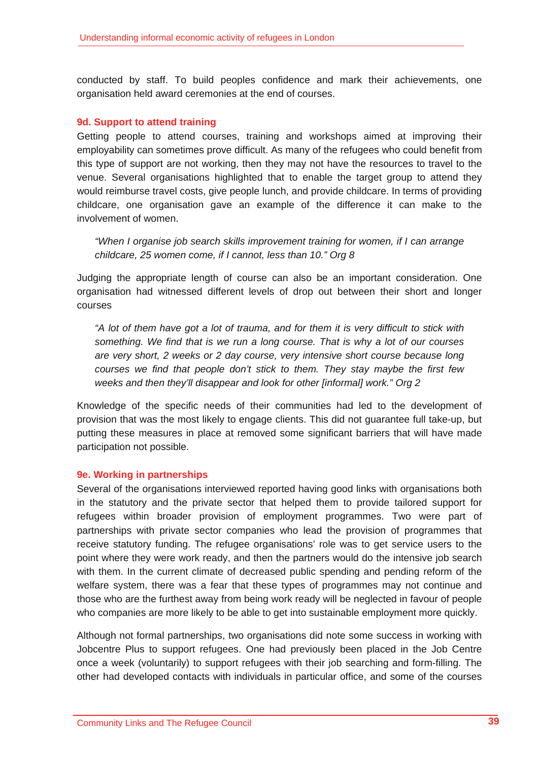conducted by staff. To build peoples confidence and mark their achievements, one organisation held award ceremonies at the end of courses.

# **9d. Support to attend training**

Getting people to attend courses, training and workshops aimed at improving their employability can sometimes prove difficult. As many of the refugees who could benefit from this type of support are not working, then they may not have the resources to travel to the venue. Several organisations highlighted that to enable the target group to attend they would reimburse travel costs, give people lunch, and provide childcare. In terms of providing childcare, one organisation gave an example of the difference it can make to the involvement of women.

*"When I organise job search skills improvement training for women, if I can arrange childcare, 25 women come, if I cannot, less than 10." Org 8* 

Judging the appropriate length of course can also be an important consideration. One organisation had witnessed different levels of drop out between their short and longer courses

*"A lot of them have got a lot of trauma, and for them it is very difficult to stick with something. We find that is we run a long course. That is why a lot of our courses are very short, 2 weeks or 2 day course, very intensive short course because long courses we find that people don't stick to them. They stay maybe the first few weeks and then they'll disappear and look for other [informal] work." Org 2* 

Knowledge of the specific needs of their communities had led to the development of provision that was the most likely to engage clients. This did not guarantee full take-up, but putting these measures in place at removed some significant barriers that will have made participation not possible.

# **9e. Working in partnerships**

Several of the organisations interviewed reported having good links with organisations both in the statutory and the private sector that helped them to provide tailored support for refugees within broader provision of employment programmes. Two were part of partnerships with private sector companies who lead the provision of programmes that receive statutory funding. The refugee organisations' role was to get service users to the point where they were work ready, and then the partners would do the intensive job search with them. In the current climate of decreased public spending and pending reform of the welfare system, there was a fear that these types of programmes may not continue and those who are the furthest away from being work ready will be neglected in favour of people who companies are more likely to be able to get into sustainable employment more quickly.

Although not formal partnerships, two organisations did note some success in working with Jobcentre Plus to support refugees. One had previously been placed in the Job Centre once a week (voluntarily) to support refugees with their job searching and form-filling. The other had developed contacts with individuals in particular office, and some of the courses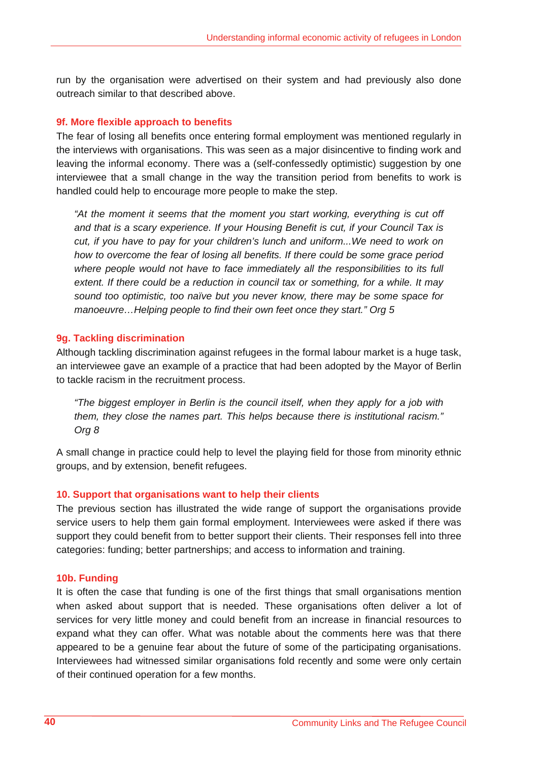run by the organisation were advertised on their system and had previously also done outreach similar to that described above.

#### **9f. More flexible approach to benefits**

The fear of losing all benefits once entering formal employment was mentioned regularly in the interviews with organisations. This was seen as a major disincentive to finding work and leaving the informal economy. There was a (self-confessedly optimistic) suggestion by one interviewee that a small change in the way the transition period from benefits to work is handled could help to encourage more people to make the step.

*"At the moment it seems that the moment you start working, everything is cut off and that is a scary experience. If your Housing Benefit is cut, if your Council Tax is cut, if you have to pay for your children's lunch and uniform...We need to work on how to overcome the fear of losing all benefits. If there could be some grace period*  where people would not have to face immediately all the responsibilities to its full *extent. If there could be a reduction in council tax or something, for a while. It may sound too optimistic, too naïve but you never know, there may be some space for manoeuvre…Helping people to find their own feet once they start." Org 5* 

#### **9g. Tackling discrimination**

Although tackling discrimination against refugees in the formal labour market is a huge task, an interviewee gave an example of a practice that had been adopted by the Mayor of Berlin to tackle racism in the recruitment process.

*"The biggest employer in Berlin is the council itself, when they apply for a job with them, they close the names part. This helps because there is institutional racism." Org 8* 

A small change in practice could help to level the playing field for those from minority ethnic groups, and by extension, benefit refugees.

# **10. Support that organisations want to help their clients**

The previous section has illustrated the wide range of support the organisations provide service users to help them gain formal employment. Interviewees were asked if there was support they could benefit from to better support their clients. Their responses fell into three categories: funding; better partnerships; and access to information and training.

#### **10b. Funding**

It is often the case that funding is one of the first things that small organisations mention when asked about support that is needed. These organisations often deliver a lot of services for very little money and could benefit from an increase in financial resources to expand what they can offer. What was notable about the comments here was that there appeared to be a genuine fear about the future of some of the participating organisations. Interviewees had witnessed similar organisations fold recently and some were only certain of their continued operation for a few months.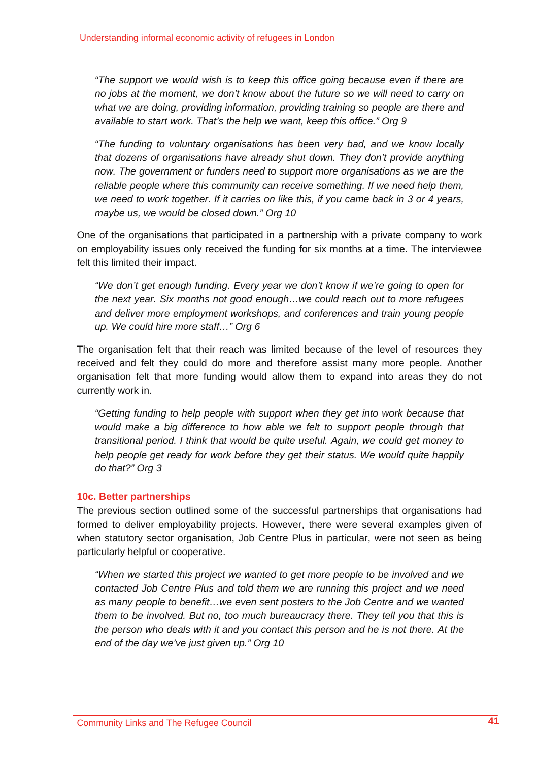*"The support we would wish is to keep this office going because even if there are no jobs at the moment, we don't know about the future so we will need to carry on what we are doing, providing information, providing training so people are there and available to start work. That's the help we want, keep this office." Org 9* 

*"The funding to voluntary organisations has been very bad, and we know locally that dozens of organisations have already shut down. They don't provide anything now. The government or funders need to support more organisations as we are the reliable people where this community can receive something. If we need help them, we need to work together. If it carries on like this, if you came back in 3 or 4 years, maybe us, we would be closed down." Org 10* 

One of the organisations that participated in a partnership with a private company to work on employability issues only received the funding for six months at a time. The interviewee felt this limited their impact.

*"We don't get enough funding. Every year we don't know if we're going to open for the next year. Six months not good enough…we could reach out to more refugees and deliver more employment workshops, and conferences and train young people up. We could hire more staff…" Org 6* 

The organisation felt that their reach was limited because of the level of resources they received and felt they could do more and therefore assist many more people. Another organisation felt that more funding would allow them to expand into areas they do not currently work in.

*"Getting funding to help people with support when they get into work because that would make a big difference to how able we felt to support people through that transitional period. I think that would be quite useful. Again, we could get money to help people get ready for work before they get their status. We would quite happily do that?" Org 3* 

# **10c. Better partnerships**

The previous section outlined some of the successful partnerships that organisations had formed to deliver employability projects. However, there were several examples given of when statutory sector organisation, Job Centre Plus in particular, were not seen as being particularly helpful or cooperative.

*"When we started this project we wanted to get more people to be involved and we contacted Job Centre Plus and told them we are running this project and we need as many people to benefit…we even sent posters to the Job Centre and we wanted them to be involved. But no, too much bureaucracy there. They tell you that this is the person who deals with it and you contact this person and he is not there. At the end of the day we've just given up." Org 10*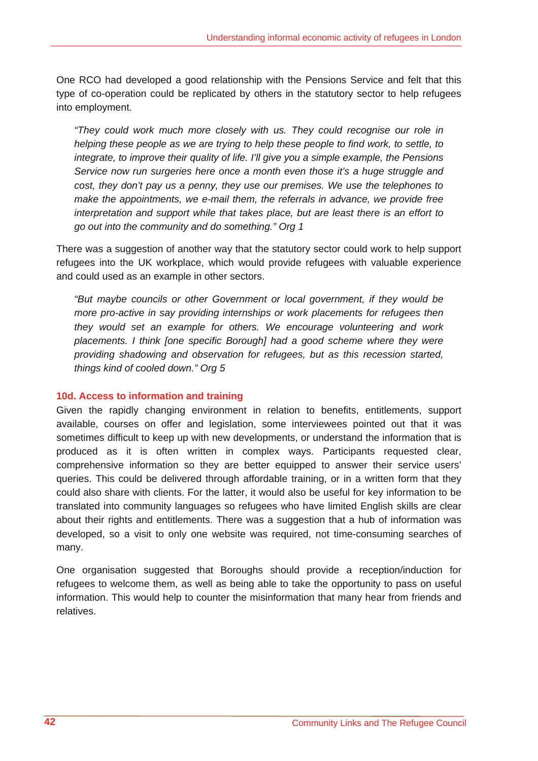One RCO had developed a good relationship with the Pensions Service and felt that this type of co-operation could be replicated by others in the statutory sector to help refugees into employment.

*"They could work much more closely with us. They could recognise our role in helping these people as we are trying to help these people to find work, to settle, to integrate, to improve their quality of life. I'll give you a simple example, the Pensions Service now run surgeries here once a month even those it's a huge struggle and cost, they don't pay us a penny, they use our premises. We use the telephones to make the appointments, we e-mail them, the referrals in advance, we provide free interpretation and support while that takes place, but are least there is an effort to go out into the community and do something." Org 1* 

There was a suggestion of another way that the statutory sector could work to help support refugees into the UK workplace, which would provide refugees with valuable experience and could used as an example in other sectors.

*"But maybe councils or other Government or local government, if they would be more pro-active in say providing internships or work placements for refugees then they would set an example for others. We encourage volunteering and work placements. I think [one specific Borough] had a good scheme where they were providing shadowing and observation for refugees, but as this recession started, things kind of cooled down." Org 5* 

#### **10d. Access to information and training**

Given the rapidly changing environment in relation to benefits, entitlements, support available, courses on offer and legislation, some interviewees pointed out that it was sometimes difficult to keep up with new developments, or understand the information that is produced as it is often written in complex ways. Participants requested clear, comprehensive information so they are better equipped to answer their service users' queries. This could be delivered through affordable training, or in a written form that they could also share with clients. For the latter, it would also be useful for key information to be translated into community languages so refugees who have limited English skills are clear about their rights and entitlements. There was a suggestion that a hub of information was developed, so a visit to only one website was required, not time-consuming searches of many.

One organisation suggested that Boroughs should provide a reception/induction for refugees to welcome them, as well as being able to take the opportunity to pass on useful information. This would help to counter the misinformation that many hear from friends and relatives.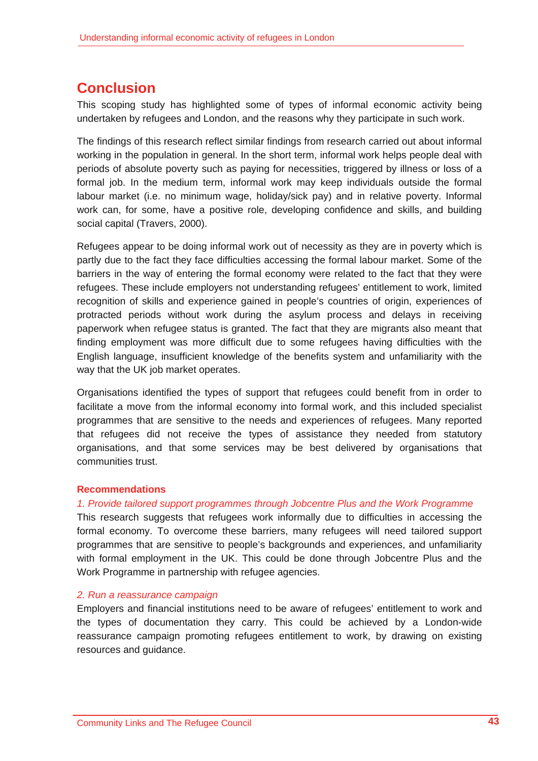# **Conclusion**

This scoping study has highlighted some of types of informal economic activity being undertaken by refugees and London, and the reasons why they participate in such work.

The findings of this research reflect similar findings from research carried out about informal working in the population in general. In the short term, informal work helps people deal with periods of absolute poverty such as paying for necessities, triggered by illness or loss of a formal job. In the medium term, informal work may keep individuals outside the formal labour market (i.e. no minimum wage, holiday/sick pay) and in relative poverty. Informal work can, for some, have a positive role, developing confidence and skills, and building social capital (Travers, 2000).

Refugees appear to be doing informal work out of necessity as they are in poverty which is partly due to the fact they face difficulties accessing the formal labour market. Some of the barriers in the way of entering the formal economy were related to the fact that they were refugees. These include employers not understanding refugees' entitlement to work, limited recognition of skills and experience gained in people's countries of origin, experiences of protracted periods without work during the asylum process and delays in receiving paperwork when refugee status is granted. The fact that they are migrants also meant that finding employment was more difficult due to some refugees having difficulties with the English language, insufficient knowledge of the benefits system and unfamiliarity with the way that the UK job market operates.

Organisations identified the types of support that refugees could benefit from in order to facilitate a move from the informal economy into formal work, and this included specialist programmes that are sensitive to the needs and experiences of refugees. Many reported that refugees did not receive the types of assistance they needed from statutory organisations, and that some services may be best delivered by organisations that communities trust.

# **Recommendations**

# *1. Provide tailored support programmes through Jobcentre Plus and the Work Programme*

This research suggests that refugees work informally due to difficulties in accessing the formal economy. To overcome these barriers, many refugees will need tailored support programmes that are sensitive to people's backgrounds and experiences, and unfamiliarity with formal employment in the UK. This could be done through Jobcentre Plus and the Work Programme in partnership with refugee agencies.

# *2. Run a reassurance campaign*

Employers and financial institutions need to be aware of refugees' entitlement to work and the types of documentation they carry. This could be achieved by a London-wide reassurance campaign promoting refugees entitlement to work, by drawing on existing resources and guidance.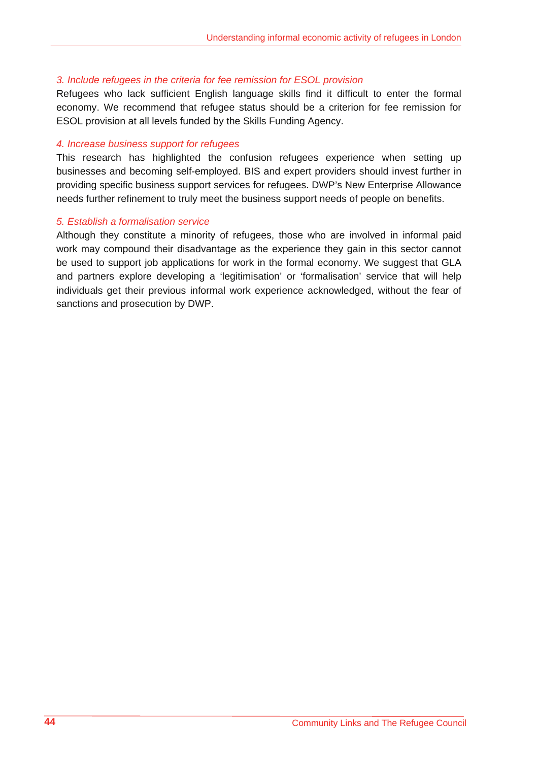#### *3. Include refugees in the criteria for fee remission for ESOL provision*

Refugees who lack sufficient English language skills find it difficult to enter the formal economy. We recommend that refugee status should be a criterion for fee remission for ESOL provision at all levels funded by the Skills Funding Agency.

#### *4. Increase business support for refugees*

This research has highlighted the confusion refugees experience when setting up businesses and becoming self-employed. BIS and expert providers should invest further in providing specific business support services for refugees. DWP's New Enterprise Allowance needs further refinement to truly meet the business support needs of people on benefits.

#### *5. Establish a formalisation service*

Although they constitute a minority of refugees, those who are involved in informal paid work may compound their disadvantage as the experience they gain in this sector cannot be used to support job applications for work in the formal economy. We suggest that GLA and partners explore developing a 'legitimisation' or 'formalisation' service that will help individuals get their previous informal work experience acknowledged, without the fear of sanctions and prosecution by DWP.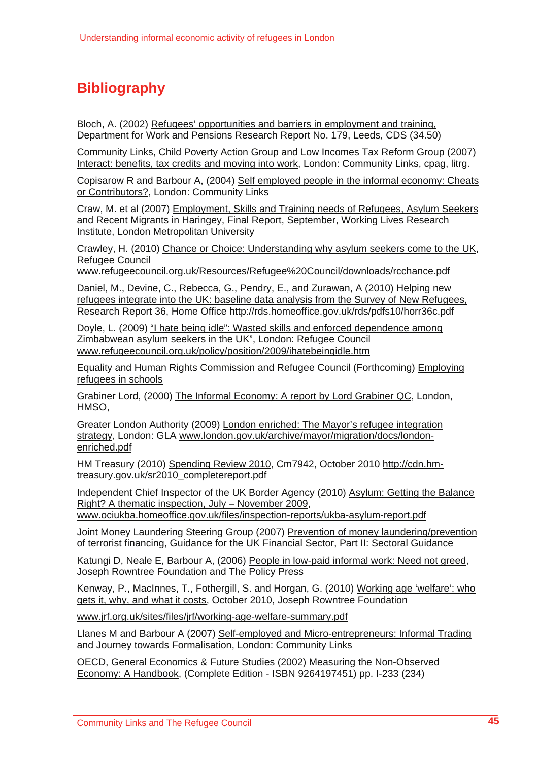# **Bibliography**

Bloch, A. (2002) Refugees' opportunities and barriers in employment and training, Department for Work and Pensions Research Report No. 179, Leeds, CDS (34.50)

Community Links, Child Poverty Action Group and Low Incomes Tax Reform Group (2007) Interact: benefits, tax credits and moving into work, London: Community Links, cpag, litrg.

Copisarow R and Barbour A, (2004) Self employed people in the informal economy: Cheats or Contributors?, London: Community Links

Craw, M. et al (2007) Employment, Skills and Training needs of Refugees, Asylum Seekers and Recent Migrants in Haringey, Final Report, September, Working Lives Research Institute, London Metropolitan University

Crawley, H. (2010) Chance or Choice: Understanding why asylum seekers come to the UK, Refugee Council

www.refugeecouncil.org.uk/Resources/Refugee%20Council/downloads/rcchance.pdf

Daniel, M., Devine, C., Rebecca, G., Pendry, E., and Zurawan, A (2010) Helping new refugees integrate into the UK: baseline data analysis from the Survey of New Refugees, Research Report 36, Home Office http://rds.homeoffice.gov.uk/rds/pdfs10/horr36c.pdf

Doyle, L. (2009) "I hate being idle": Wasted skills and enforced dependence among Zimbabwean asylum seekers in the UK", London: Refugee Council www.refugeecouncil.org.uk/policy/position/2009/ihatebeingidle.htm

Equality and Human Rights Commission and Refugee Council (Forthcoming) Employing refugees in schools

Grabiner Lord, (2000) The Informal Economy: A report by Lord Grabiner QC, London, HMSO,

Greater London Authority (2009) London enriched: The Mayor's refugee integration strategy, London: GLA www.london.gov.uk/archive/mayor/migration/docs/londonenriched.pdf

HM Treasury (2010) Spending Review 2010, Cm7942, October 2010 http://cdn.hmtreasury.gov.uk/sr2010\_completereport.pdf

Independent Chief Inspector of the UK Border Agency (2010) Asylum: Getting the Balance Right? A thematic inspection, July – November 2009,

www.ociukba.homeoffice.gov.uk/files/inspection-reports/ukba-asylum-report.pdf

Joint Money Laundering Steering Group (2007) Prevention of money laundering/prevention of terrorist financing, Guidance for the UK Financial Sector, Part II: Sectoral Guidance

Katungi D, Neale E, Barbour A, (2006) People in low-paid informal work: Need not greed, Joseph Rowntree Foundation and The Policy Press

Kenway, P., MacInnes, T., Fothergill, S. and Horgan, G. (2010) Working age 'welfare': who gets it, why, and what it costs, October 2010, Joseph Rowntree Foundation

www.jrf.org.uk/sites/files/jrf/working-age-welfare-summary.pdf

Llanes M and Barbour A (2007) Self-employed and Micro-entrepreneurs: Informal Trading and Journey towards Formalisation, London: Community Links

OECD, General Economics & Future Studies (2002) Measuring the Non-Observed Economy: A Handbook, (Complete Edition - ISBN 9264197451) pp. I-233 (234)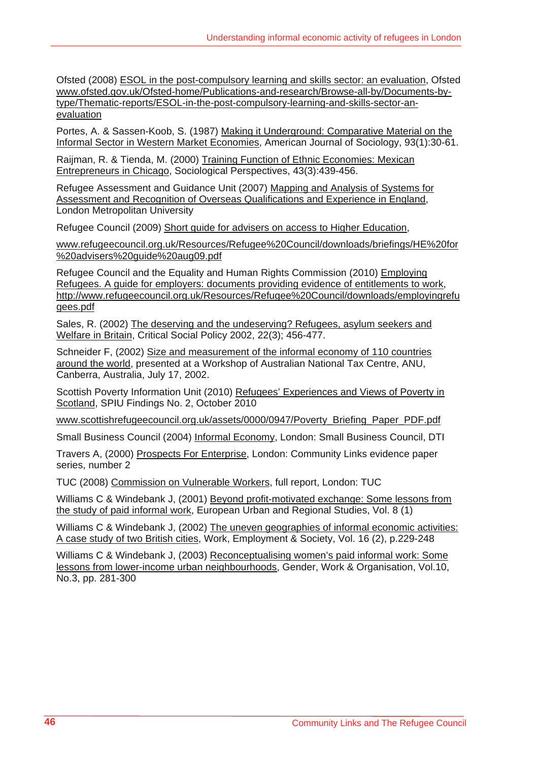Ofsted (2008) ESOL in the post-compulsory learning and skills sector: an evaluation, Ofsted www.ofsted.gov.uk/Ofsted-home/Publications-and-research/Browse-all-by/Documents-bytype/Thematic-reports/ESOL-in-the-post-compulsory-learning-and-skills-sector-anevaluation

Portes, A. & Sassen-Koob, S. (1987) Making it Underground: Comparative Material on the Informal Sector in Western Market Economies, American Journal of Sociology, 93(1):30-61.

Raijman, R. & Tienda, M. (2000) Training Function of Ethnic Economies: Mexican Entrepreneurs in Chicago, Sociological Perspectives, 43(3):439-456.

Refugee Assessment and Guidance Unit (2007) Mapping and Analysis of Systems for Assessment and Recognition of Overseas Qualifications and Experience in England, London Metropolitan University

Refugee Council (2009) Short guide for advisers on access to Higher Education,

www.refugeecouncil.org.uk/Resources/Refugee%20Council/downloads/briefings/HE%20for %20advisers%20guide%20aug09.pdf

Refugee Council and the Equality and Human Rights Commission (2010) Employing Refugees. A guide for employers: documents providing evidence of entitlements to work, http://www.refugeecouncil.org.uk/Resources/Refugee%20Council/downloads/employingrefu gees.pdf

Sales, R. (2002) The deserving and the undeserving? Refugees, asylum seekers and Welfare in Britain, Critical Social Policy 2002, 22(3); 456-477.

Schneider F, (2002) Size and measurement of the informal economy of 110 countries around the world, presented at a Workshop of Australian National Tax Centre, ANU, Canberra, Australia, July 17, 2002.

Scottish Poverty Information Unit (2010) Refugees' Experiences and Views of Poverty in Scotland, SPIU Findings No. 2, October 2010

www.scottishrefugeecouncil.org.uk/assets/0000/0947/Poverty\_Briefing\_Paper\_PDF.pdf

Small Business Council (2004) Informal Economy, London: Small Business Council, DTI

Travers A, (2000) Prospects For Enterprise, London: Community Links evidence paper series, number 2

TUC (2008) Commission on Vulnerable Workers, full report, London: TUC

Williams C & Windebank J, (2001) Beyond profit-motivated exchange: Some lessons from the study of paid informal work, European Urban and Regional Studies, Vol. 8 (1)

Williams C & Windebank J, (2002) The uneven geographies of informal economic activities: A case study of two British cities, Work, Employment & Society, Vol. 16 (2), p.229-248

Williams C & Windebank J, (2003) Reconceptualising women's paid informal work: Some lessons from lower-income urban neighbourhoods, Gender, Work & Organisation, Vol.10, No.3, pp. 281-300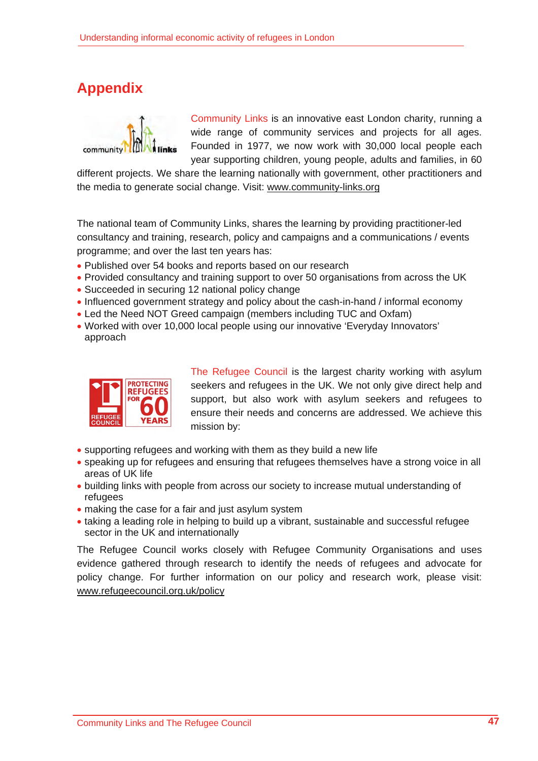# **Appendix**



Community Links is an innovative east London charity, running a wide range of community services and projects for all ages. Founded in 1977, we now work with 30,000 local people each year supporting children, young people, adults and families, in 60

different projects. We share the learning nationally with government, other practitioners and the media to generate social change. Visit: www.community-links.org

The national team of Community Links, shares the learning by providing practitioner-led consultancy and training, research, policy and campaigns and a communications / events programme; and over the last ten years has:

- Published over 54 books and reports based on our research
- Provided consultancy and training support to over 50 organisations from across the UK
- Succeeded in securing 12 national policy change
- Influenced government strategy and policy about the cash-in-hand / informal economy
- Led the Need NOT Greed campaign (members including TUC and Oxfam)
- Worked with over 10,000 local people using our innovative 'Everyday Innovators' approach



The Refugee Council is the largest charity working with asylum seekers and refugees in the UK. We not only give direct help and support, but also work with asylum seekers and refugees to ensure their needs and concerns are addressed. We achieve this mission by:

- supporting refugees and working with them as they build a new life
- speaking up for refugees and ensuring that refugees themselves have a strong voice in all areas of UK life
- building links with people from across our society to increase mutual understanding of refugees
- making the case for a fair and just asylum system
- taking a leading role in helping to build up a vibrant, sustainable and successful refugee sector in the UK and internationally

The Refugee Council works closely with Refugee Community Organisations and uses evidence gathered through research to identify the needs of refugees and advocate for policy change. For further information on our policy and research work, please visit: www.refugeecouncil.org.uk/policy